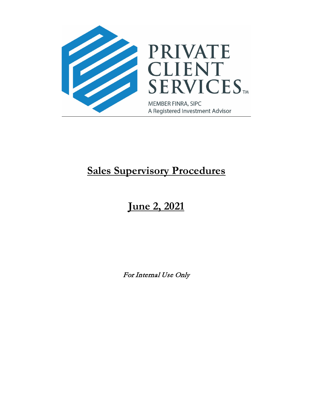

# **Sales Supervisory Procedures**

# **June 2, 2021**

For Internal Use Only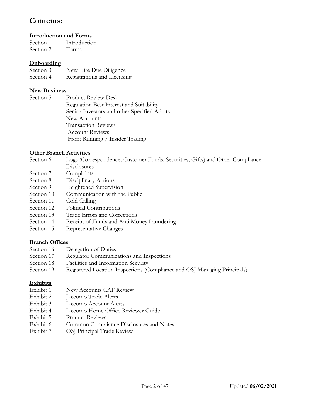### **Contents:**

### **Introduction and Forms**

Section 1 Introduction Section 2 Forms

### **Onboarding**

Section 3 New Hire Due Diligence Section 4 Registrations and Licensing

### **New Business**

Section 5 Product Review Desk Regulation Best Interest and Suitability Senior Investors and other Specified Adults New Accounts Transaction Reviews Account Reviews Front Running / Insider Trading

### **Other Branch Activities**

Section 6 Logs (Correspondence, Customer Funds, Securities, Gifts) and Other Compliance **Disclosures** 

- Section 7 Complaints
- Section 8 Disciplinary Actions
- Section 9 Heightened Supervision
- Section 10 Communication with the Public
- Section 11 Cold Calling
- Section 12 Political Contributions
- Section 13 Trade Errors and Corrections
- Section 14 Receipt of Funds and Anti Money Laundering
- Section 15 Representative Changes

### **Branch Offices**

- Section 16 Delegation of Duties
- Section 17 Regulator Communications and Inspections
- Section 18 Facilities and Information Security
- Section 19 Registered Location Inspections (Compliance and OSJ Managing Principals)

### **Exhibits**

- Exhibit 1 New Accounts CAF Review
- Exhibit 2 Jaccomo Trade Alerts
- Exhibit 3 Jaccomo Account Alerts
- Exhibit 4 Jaccomo Home Office Reviewer Guide
- Exhibit 5 Product Reviews
- Exhibit 6 Common Compliance Disclosures and Notes
- Exhibit 7 OSJ Principal Trade Review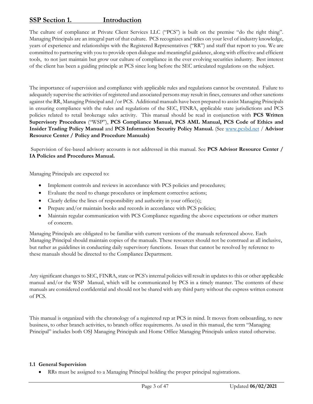### **SSP Section 1. Introduction**

The culture of compliance at Private Client Services LLC ("PCS") is built on the premise "do the right thing". Managing Principals are an integral part of that culture. PCS recognizes and relies on your level of industry knowledge, years of experience and relationships with the Registered Representatives ("RR") and staff that report to you. We are committed to partnering with you to provide open dialogue and meaningful guidance, along with effective and efficient tools, to not just maintain but grow our culture of compliance in the ever evolving securities industry. Best interest of the client has been a guiding principle at PCS since long before the SEC articulated regulations on the subject.

The importance of supervision and compliance with applicable rules and regulations cannot be overstated. Failure to adequately supervise the activities of registered and associated persons may result in fines, censures and other sanctions against the RR, Managing Principal and /or PCS. Additional manuals have been prepared to assist Managing Principals in ensuring compliance with the rules and regulations of the SEC, FINRA, applicable state jurisdictions and PCS policies related to retail brokerage sales activity. This manual should be read in conjunction with **PCS Written Supervisory Procedures** ("WSP"), **PCS Compliance Manual, PCS AML Manual, PCS Code of Ethics and Insider Trading Policy Manual** and **PCS Information Security Policy Manual.** (See [www.pcsbd.net](http://www.pcsbd.net/) / **Advisor Resource Center / Policy and Procedure Manuals)**

Supervision of fee-based advisory accounts is not addressed in this manual. See **PCS Advisor Resource Center / IA Policies and Procedures Manual.** 

Managing Principals are expected to:

- Implement controls and reviews in accordance with PCS policies and procedures;
- Evaluate the need to change procedures or implement corrective actions;
- Clearly define the lines of responsibility and authority in your office(s);
- Prepare and/or maintain books and records in accordance with PCS policies;
- Maintain regular communication with PCS Compliance regarding the above expectations or other matters of concern.

Managing Principals are obligated to be familiar with current versions of the manuals referenced above. Each Managing Principal should maintain copies of the manuals. These resources should not be construed as all inclusive, but rather as guidelines in conducting daily supervisory functions. Issues that cannot be resolved by reference to these manuals should be directed to the Compliance Department.

Any significant changes to SEC, FINRA, state or PCS's internal policies will result in updates to this or other applicable manual and/or the WSP Manual, which will be communicated by PCS in a timely manner. The contents of these manuals are considered confidential and should not be shared with any third party without the express written consent of PCS.

This manual is organized with the chronology of a registered rep at PCS in mind. It moves from onboarding, to new business, to other branch activities, to branch office requirements. As used in this manual, the term "Managing Principal" includes both OSJ Managing Principals and Home Office Managing Principals unless stated otherwise.

### **1.1 General Supervision**

• RRs must be assigned to a Managing Principal holding the proper principal registrations.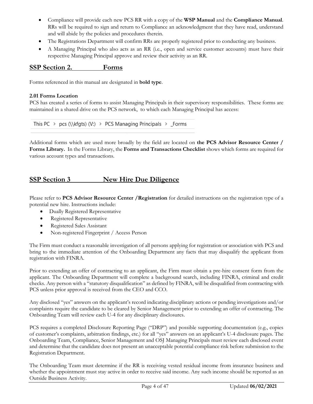- Compliance will provide each new PCS RR with a copy of the **WSP Manual** and the **Compliance Manual**. RRs will be required to sign and return to Compliance an acknowledgment that they have read, understand and will abide by the policies and procedures therein.
- The Registrations Department will confirm RRs are properly registered prior to conducting any business.
- A Managing Principal who also acts as an RR (i.e., open and service customer accounts) must have their respective Managing Principal approve and review their activity as an RR.

### **SSP Section 2. Forms**

Forms referenced in this manual are designated in **bold type**.

### **2.01 Forms Location**

PCS has created a series of forms to assist Managing Principals in their supervisory responsibilities. These forms are maintained in a shared drive on the PCS network, to which each Managing Principal has access:

This PC > pcs (\\kfgts) (V:) > PCS Managing Principals > \_Forms

Additional forms which are used more broadly by the field are located on **the PCS Advisor Resource Center / Forms Library.** In the Forms Library, the **Forms and Transactions Checklist** shows which forms are required for various account types and transactions.

### **SSP Section 3 New Hire Due Diligence**

Please refer to **PCS Advisor Resource Center /Registration** for detailed instructions on the registration type of a potential new hire. Instructions include:

- Dually Registered Representative
- Registered Representative
- Registered Sales Assistant
- Non-registered Fingerprint / Access Person

The Firm must conduct a reasonable investigation of all persons applying for registration or association with PCS and bring to the immediate attention of the Onboarding Department any facts that may disqualify the applicant from registration with FINRA.

Prior to extending an offer of contracting to an applicant, the Firm must obtain a pre-hire consent form from the applicant. The Onboarding Department will complete a background search, including FINRA, criminal and credit checks. Any person with a "statutory disqualification" as defined by FINRA, will be disqualified from contracting with PCS unless prior approval is received from the CEO and CCO.

Any disclosed "yes" answers on the applicant's record indicating disciplinary actions or pending investigations and/or complaints require the candidate to be cleared by Senior Management prior to extending an offer of contracting. The Onboarding Team will review each U-4 for any disciplinary disclosures.

PCS requires a completed Disclosure Reporting Page ("DRP") and possible supporting documentation (e.g., copies of customer's complaints, arbitration findings, etc.) for all "yes" answers on an applicant's U-4 disclosure pages. The Onboarding Team, Compliance, Senior Management and OSJ Managing Principals must review each disclosed event and determine that the candidate does not present an unacceptable potential compliance risk before submission to the Registration Department.

The Onboarding Team must determine if the RR is receiving vested residual income from insurance business and whether the appointment must stay active in order to receive said income. Any such income should be reported as an Outside Business Activity.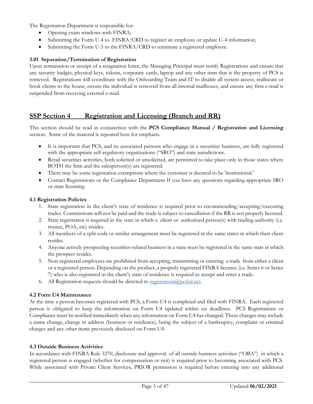The Registration Department is responsible for:

- Opening exam windows with FINRA;
- Submitting the Form U-4 to FINRA/CRD to register an employee or update U-4 information;
- Submitting the Form U-5 to the FINRA/CRD to terminate a registered employee.

### **3.01 Separation/Termination of Registration**

Upon termination or receipt of a resignation letter, the Managing Principal must notify Registrations and ensure that any security badges, physical keys, tokens, corporate cards, laptop and any other item that is the property of PCS is retrieved. Registrations will coordinate with the Onboarding Team and IT to disable all system access, reallocate or book clients to the house, ensure the individual is removed from all internal mailboxes, and ensure any firm e-mail is suspended from receiving external e-mail.

### **SSP Section 4 Registration and Licensing (Branch and RR)**

This section should be read in conjunction with the **PCS Compliance Manual / Registration and Licensing** section. Some of the material is repeated here for emphasis.

- It is important that PCS, and its associated persons who engage in a securities business, are fully registered with the appropriate self-regulatory organizations ("SRO") and state jurisdictions.
- Retail securities activities, both solicited or unsolicited, are permitted to take place only in those states where BOTH the firm and the salesperson(s) are registered.
- There may be some registration exemptions where the customer is deemed to be 'institutional.'
- Contact Registrations or the Compliance Department If you have any questions regarding appropriate SRO or state licensing.

### **4.1 Registration Policies**

- 1. State registration in the client's state of residence is required prior to recommending/accepting/executing trades. Commissions will not be paid and the trade is subject to cancellation if the RR is not properly licensed.
- 2. State registration is required in the state in which a client or authorized person(s) with trading authority (i.e. trustee, POA, etc) resides.
- 3. All members of a split code or similar arrangement must be registered in the same states in which their client resides.
- 4. Anyone actively prospecting securities-related business in a state must be registered in the same state in which the prospect resides.
- 5. Non-registered employees are prohibited from accepting, transmitting or entering a trade from either a client or a registered person. Depending on the product, a properly registered FINRA licensee (i.e. Series 6 or Series 7) who is also registered in the client's state of residence is required to accept and enter a trade.
- 6. All Registration requests should be directed to registration  $\omega$  pcsbd.net.

### **4.2 Form U4 Maintenance**

At the time a person becomes registered with PCS, a Form U4 is completed and filed with FINRA. Each registered person is obligated to keep the information on Form U4 updated within set deadlines. PCS Registrations or Compliance must be notified immediately when any information on Form U4 has changed. These changes may include a name change, change in address (business or residence), being the subject of a bankruptcy, complaint or criminal charges and any other items previously disclosed on Form U4.

### **4.3 Outside Business Activities**

In accordance with FINRA Rule 3270, disclosure and approval of all outside business activities ("OBA") in which a registered person is engaged (whether for compensation or not) is required prior to becoming associated with PCS. While associated with Private Client Services, PRIOR permission is required before entering into any additional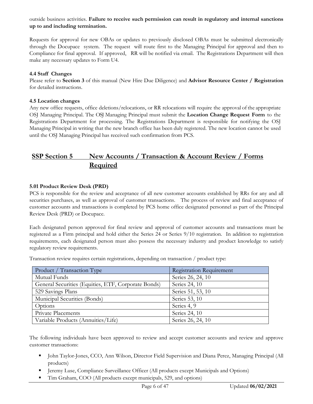outside business activities. **Failure to receive such permission can result in regulatory and internal sanctions up to and including termination.**

Requests for approval for new OBAs or updates to previously disclosed OBAs must be submitted electronically through the Docupace system. The request will route first to the Managing Principal for approval and then to Compliance for final approval. If approved, RR will be notified via email. The Registrations Department will then make any necessary updates to Form U4.

### **4.4 Staff Changes**

Please refer to **Section 3** of this manual (New Hire Due Diligence) and **Advisor Resource Center / Registration** for detailed instructions.

### **4.5 Location changes**

Any new office requests, office deletions/relocations, or RR relocations will require the approval of the appropriate OSJ Managing Principal. The OSJ Managing Principal must submit the **Location Change Request Form** to the Registrations Department for processing. The Registrations Department is responsible for notifying the OSJ Managing Principal in writing that the new branch office has been duly registered. The new location cannot be used until the OSJ Managing Principal has received such confirmation from PCS.

### **SSP Section 5 New Accounts / Transaction & Account Review / Forms Required**

### **5.01 Product Review Desk (PRD)**

PCS is responsible for the review and acceptance of all new customer accounts established by RRs for any and all securities purchases, as well as approval of customer transactions. The process of review and final acceptance of customer accounts and transactions is completed by PCS home office designated personnel as part of the Principal Review Desk (PRD) or Docupace.

Each designated person approved for final review and approval of customer accounts and transactions must be registered as a Firm principal and hold either the Series 24 or Series 9/10 registration. In addition to registration requirements, each designated person must also possess the necessary industry and product knowledge to satisfy regulatory review requirements.

Transaction review requires certain registrations, depending on transaction / product type:

| Product / Transaction Type                          | <b>Registration Requirement</b> |
|-----------------------------------------------------|---------------------------------|
| Mutual Funds                                        | Series 26, 24, 10               |
| General Securities (Equities, ETF, Corporate Bonds) | Series 24, 10                   |
| 529 Savings Plans                                   | Series 51, 53, 10               |
| Municipal Securities (Bonds)                        | Series 53, 10                   |
| Options                                             | Series 4, 9                     |
| Private Placements                                  | Series 24, 10                   |
| Variable Products (Annuities/Life)                  | Series 26, 24, 10               |

The following individuals have been approved to review and accept customer accounts and review and approve customer transactions:

- John Taylor-Jones, CCO, Ann Wilson, Director Field Supervision and Diana Perez, Managing Principal (All products)
- Jeremy Luse, Compliance Surveillance Officer (All products except Municipals and Options)
- Tim Graham, COO (All products except municipals, 529, and options)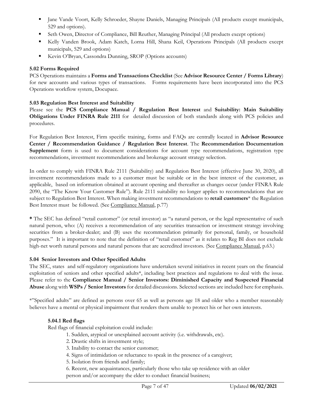- Inne Vande Voort, Kelly Schroeder, Shayne Daniels, Managing Principals (All products except municipals, 529 and options).
- Seth Owen, Director of Compliance, Bill Reuther, Managing Principal (All products except options)
- Kelly Vanden Brook, Adam Katch, Lorna Hill, Shana Keil, Operations Principals (All products except municipals, 529 and options)
- Kevin O'Bryan, Cassondra Dunning, SROP (Options accounts)

### **5.02 Forms Required**

PCS Operations maintains a **Forms and Transactions Checklist** (See **Advisor Resource Center / Forms Library**) for new accounts and various types of transactions. Forms requirements have been incorporated into the PCS Operations workflow system, Docupace.

### **5.03 Regulation Best Interest and Suitability**

Please see the **PCS Compliance Manual / Regulation Best Interest** and **Suitability: Main Suitability Obligations Under FINRA Rule 2111** for detailed discussion of both standards along with PCS policies and procedures.

For Regulation Best Interest, Firm specific training, forms and FAQs are centrally located in **Advisor Resource Center / Recommendation Guidance / Regulation Best Interest**. The **Recommendation Documentation Supplement** form is used to document considerations for account type recommendations, registration type recommendations, investment recommendations and brokerage account strategy selection.

In order to comply with FINRA Rule 2111 (Suitability) and Regulation Best Interest (effective June 30, 2020), all investment recommendations made to a customer must be suitable or in the best interest of the customer, as applicable, based on information obtained at account opening and thereafter as changes occur (under FINRA Rule 2090, the "The Know Your Customer Rule"). Rule 2111 suitability no longer applies to recommendations that are subject to Regulation Best Interest. When making investment recommendations to **retail customers**\* the Regulation Best Interest must be followed. (See Compliance Manual, p.77)

**\*** The SEC has defined "retail customer" (or retail investor) as "a natural person, or the legal representative of such natural person, who: (A) receives a recommendation of any securities transaction or investment strategy involving securities from a broker-dealer; and (B) uses the recommendation primarily for personal, family, or household purposes." It is important to note that the definition of "retail customer" as it relates to Reg BI does not exclude high-net worth natural persons and natural persons that are accredited investors. (See Compliance Manual, p.63.)

### **5.04 Senior Investors and Other Specified Adults**

The SEC, states and self-regulatory organizations have undertaken several initiatives in recent years on the financial exploitation of seniors and other specified adults\*, including best practices and regulations to deal with the issue. Please refer to the **Compliance Manual / Senior Investors: Diminished Capacity and Suspected Financial Abuse** along with **WSPs / Senior Investors** for detailed discussions. Selected sections are included here for emphasis.

\*"Specified adults" are defined as persons over 65 as well as persons age 18 and older who a member reasonably believes have a mental or physical impairment that renders them unable to protect his or her own interests.

### **5.04.1 Red flags**

Red flags of financial exploitation could include:

- 1. Sudden, atypical or unexplained account activity (i.e. withdrawals, etc).
	- 2. Drastic shifts in investment style;
	- 3. Inability to contact the senior customer;
	- 4. Signs of intimidation or reluctance to speak in the presence of a caregiver;
	- 5. Isolation from friends and family;
	- 6. Recent, new acquaintances, particularly those who take up residence with an older person and/or accompany the elder to conduct financial business;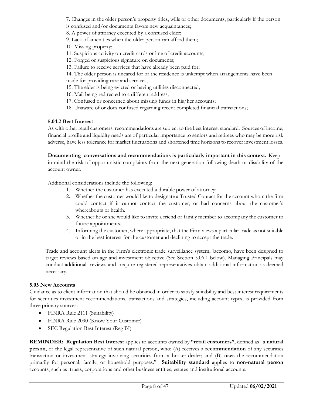7. Changes in the older person's property titles, wills or other documents, particularly if the person

is confused and/or documents favors new acquaintances;

8. A power of attorney executed by a confused elder;

9. Lack of amenities when the older person can afford them;

10. Missing property;

- 11. Suspicious activity on credit cards or line of credit accounts;
- 12. Forged or suspicious signature on documents;
- 13. Failure to receive services that have already been paid for;

14. The older person is uncared for or the residence is unkempt when arrangements have been made for providing care and services;

- 15. The elder is being evicted or having utilities disconnected;
- 16. Mail being redirected to a different address;
- 17. Confused or concerned about missing funds in his/her accounts;
- 18. Unaware of or does confused regarding recent completed financial transactions;

### **5.04.2 Best Interest**

As with other retail customers, recommendations are subject to the best interest standard. Sources of income, financial profile and liquidity needs are of particular importance to seniors and retirees who may be more risk adverse, have less tolerance for market fluctuations and shortened time horizons to recover investment losses.

### **Documenting conversations and recommendations is particularly important in this context.** Keep

in mind the risk of opportunistic complaints from the next generation following death or disability of the account owner.

Additional considerations include the following:

- 1. Whether the customer has executed a durable power of attorney;
- 2. Whether the customer would like to designate a Trusted Contact for the account whom the firm could contact if it cannot contact the customer, or had concerns about the customer's whereabouts or health.
- 3. Whether he or she would like to invite a friend or family member to accompany the customer to future appointments.
- 4. Informing the customer, where appropriate, that the Firm views a particular trade as not suitable or in the best interest for the customer and declining to accept the trade.

Trade and account alerts in the Firm's electronic trade surveillance system, Jaccomo, have been designed to target reviews based on age and investment objective (See Section 5.06.1 below). Managing Principals may conduct additional reviews and require registered representatives obtain additional information as deemed necessary.

### **5.05 New Accounts**

Guidance as to client information that should be obtained in order to satisfy suitability and best interest requirements for securities investment recommendations, transactions and strategies, including account types, is provided from three primary sources:

- FINRA Rule 2111 (Suitability)
- FINRA Rule 2090 (Know Your Customer)
- SEC Regulation Best Interest (Reg BI)

**REMINDER: Regulation Best Interest** applies to accounts owned by **"retail customers"**, defined as "a **natural person**, or the legal representative of such natural person, who: (A) receives a **recommendation** of any securities transaction or investment strategy involving securities from a broker-dealer; and (B) **uses** the recommendation primarily for personal, family, or household purposes." **Suitability standard** applies to **non-natural person** accounts, such as trusts, corporations and other business entities, estates and institutional accounts.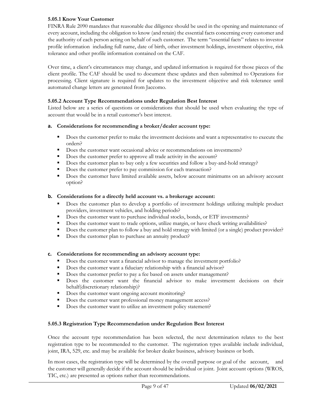### **5.05.1 Know Your Customer**

FINRA Rule 2090 mandates that reasonable due diligence should be used in the opening and maintenance of every account, including the obligation to know (and retain) the essential facts concerning every customer and the authority of each person acting on behalf of such customer. The term "essential facts" relates to investor profile information including full name, date of birth, other investment holdings, investment objective, risk tolerance and other profile information contained on the CAF.

Over time, a client's circumstances may change, and updated information is required for those pieces of the client profile. The CAF should be used to document these updates and then submitted to Operations for processing. Client signature is required for updates to the investment objective and risk tolerance until automated change letters are generated from Jaccomo.

### **5.05.2 Account Type Recommendations under Regulation Best Interest**

Listed below are a series of questions or considerations that should be used when evaluating the type of account that would be in a retail customer's best interest.

### **a. Considerations for recommending a broker/dealer account type:**

- Does the customer prefer to make the investment decisions and want a representative to execute the orders?
- Does the customer want occasional advice or recommendations on investments?
- Does the customer prefer to approve all trade activity in the account?
- Does the customer plan to buy only a few securities and follow a buy-and-hold strategy?
- Does the customer prefer to pay commission for each transaction?
- Does the customer have limited available assets, below account minimums on an advisory account option?

### **b. Considerations for a directly held account vs. a brokerage account:**

- Does the customer plan to develop a portfolio of investment holdings utilizing multiple product providers, investment vehicles, and holding periods?
- Does the customer want to purchase individual stocks, bonds, or ETF investments?
- Does the customer want to trade options, utilize margin, or have check writing availabilities?
- Does the customer plan to follow a buy and hold strategy with limited (or a single) product provider?
- Does the customer plan to purchase an annuity product?

### **c. Considerations for recommending an advisory account type:**

- Does the customer want a financial advisor to manage the investment portfolio?
- Does the customer want a fiduciary relationship with a financial advisor?
- Does the customer prefer to pay a fee based on assets under management?
- Does the customer want the financial advisor to make investment decisions on their behalf(discretionary relationship)?
- Does the customer want ongoing account monitoring?
- Does the customer want professional money management access?
- Does the customer want to utilize an investment policy statement?

### **5.05.3 Registration Type Recommendation under Regulation Best Interest**

Once the account type recommendation has been selected, the next determination relates to the best registration type to be recommended to the customer. The registration types available include individual, joint, IRA, 529, etc. and may be available for broker dealer business, advisory business or both.

In most cases, the registration type will be determined by the overall purpose or goal of the account, and the customer will generally decide if the account should be individual or joint. Joint account options (WROS, TIC, etc.) are presented as options rather than recommendations.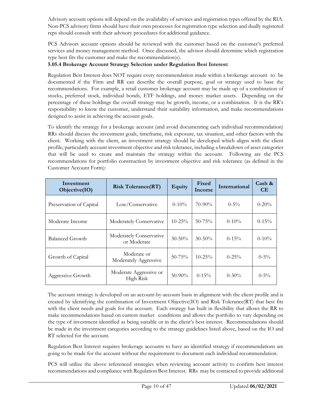Advisory account options will depend on the availability of services and registration types offered by the RIA. Non-PCS advisory firms should have their own processes for registration type selection and dually registered reps should consult with their advisory procedures for additional guidance.

PCS Advisors account options should be reviewed with the customer based on the customer's preferred services and money management method. Once discussed, the advisor should determine which registration type best fits the customer and make the recommendation(s).

**5.05.4 Brokerage Account Strategy Selection under Regulation Best Interest:**

Regulation Best Interest does NOT require every recommendation made within a brokerage account to be documented if the Firm and RR can describe the overall purpose, goal or strategy used to base the recommendations. For example, a retail customer brokerage account may be made up of a combination of stocks, preferred stock, individual bonds, ETF holdings, and money market assets. Depending on the percentage of these holdings the overall strategy may be growth, income, or a combination. It is the RR's responsibility to know the customer, understand their suitability information, and make recommendations designed to assist in achieving the account goals.

To identify the strategy for a brokerage account (and avoid documenting each individual recommendation) RRs should discuss the investment goals, timeframe, risk exposure, tax situation, and other factors with the client. Working with the client, an investment strategy should be developed which aligns with the client profile, particularly account investment objective and risk tolerance, including a breakdown of asset categories that will be used to create and maintain the strategy within the account. Following are the PCS recommendations for portfolio construction by investment objective and risk tolerance (as defined in the Customer Account Form):

| Investment<br>Objective(IO) | <b>Risk Tolerance (RT)</b>             | Equity      | Fixed<br>Income | International | Cash &<br><b>CE</b> |
|-----------------------------|----------------------------------------|-------------|-----------------|---------------|---------------------|
| Preservation of Capital     | Low/Conservative                       | $0-10\%$    | $70-90%$        | $0 - 5\%$     | $0 - 20%$           |
| Moderate Income             | Moderately Conservative                | $10 - 25\%$ | $50 - 75%$      | $0-10\%$      | $0-15%$             |
| <b>Balanced Growth</b>      | Moderately Conservative<br>or Moderate | $30 - 50\%$ | $30 - 50\%$     | $0-15%$       | $0-10%$             |
| Growth of Capital           | Moderate or<br>Moderately Aggressive   | $50 - 75%$  | $10 - 25\%$     | $0 - 25\%$    | $0 - 5\%$           |
| Aggressive Growth           | Moderate Aggressive or<br>High Risk    | $50-90%$    | $0 - 15\%$      | $0 - 30\%$    | $0 - 5\%$           |

The account strategy is developed on an account-by-account basis in alignment with the client profile and is created by identifying the combination of Investment Objective(IO) and Risk Tolerance(RT) that best fits with the client needs and goals for the account. Each strategy has built in flexibility that allows the RR to make recommendations based on current market conditions and allows the portfolio to vary depending on the type of investment identified as being suitable or in the client's best interest. Recommendations should be made in the investment categories according to the strategy guidelines listed above, based on the IO and RT selected for the account.

Regulation Best Interest requires brokerage accounts to have an identified strategy if recommendations are going to be made for the account without the requirement to document each individual recommendation.

PCS will utilize the above referenced strategies when reviewing account activity to confirm best interest recommendations and compliance with Regulation Best Interest. RRs may be contacted to provide additional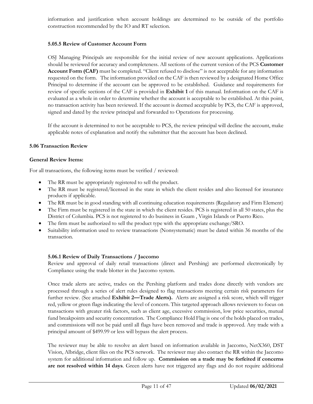information and justification when account holdings are determined to be outside of the portfolio construction recommended by the IO and RT selection.

### **5.05.5 Review of Customer Account Form**

OSJ Managing Principals are responsible for the initial review of new account applications. Applications should be reviewed for accuracy and completeness. All sections of the current version of the PCS **Customer Account Form (CAF)** must be completed. "Client refused to disclose" is not acceptable for any information requested on the form. The information provided on the CAF is then reviewed by a designated Home Office Principal to determine if the account can be approved to be established. Guidance and requirements for review of specific sections of the CAF is provided in **Exhibit 1** of this manual. Information on the CAF is evaluated as a whole in order to determine whether the account is acceptable to be established. At this point, no transaction activity has been reviewed. If the account is deemed acceptable by PCS, the CAF is approved, signed and dated by the review principal and forwarded to Operations for processing.

If the account is determined to not be acceptable to PCS, the review principal will decline the account, make applicable notes of explanation and notify the submitter that the account has been declined.

### **5.06 Transaction Review**

### **General Review Items:**

For all transactions, the following items must be verified / reviewed:

- The RR must be appropriately registered to sell the product.
- The RR must be registered/licensed in the state in which the client resides and also licensed for insurance products if applicable.
- The RR must be in good standing with all continuing education requirements (Regulatory and Firm Element)
- The Firm must be registered in the state in which the client resides. PCS is registered in all 50 states, plus the District of Columbia. PCS is not registered to do business in Guam , Virgin Islands or Puerto Rico.
- The firm must be authorized to sell the product type with the appropriate exchange/SRO.
- Suitability information used to review transactions (Nonsystematic) must be dated within 36 months of the transaction.

### **5.06.1 Review of Daily Transactions / Jaccomo**

Review and approval of daily retail transactions (direct and Pershing) are performed electronically by Compliance using the trade blotter in the Jaccomo system.

Once trade alerts are active, trades on the Pershing platform and trades done directly with vendors are processed through a series of alert rules designed to flag transactions meeting certain risk parameters for further review. (See attached **Exhibit 2—Trade Alerts).** Alerts are assigned a risk score, which will trigger red, yellow or green flags indicating the level of concern. This targeted approach allows reviewers to focus on transactions with greater risk factors, such as client age, excessive commission, low price securities, mutual fund breakpoints and security concentration. The Compliance Hold Flag is one of the holds placed on trades, and commissions will not be paid until all flags have been removed and trade is approved. Any trade with a principal amount of \$499.99 or less will bypass the alert process.

The reviewer may be able to resolve an alert based on information available in Jaccomo, NetX360, DST Vision, Albridge, client files on the PCS network. The reviewer may also contact the RR within the Jaccomo system for additional information and follow up. **Commission on a trade may be forfeited if concerns are not resolved within 14 days**. Green alerts have not triggered any flags and do not require additional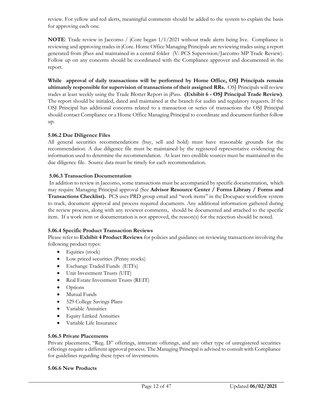review. For yellow and red alerts, meaningful comments should be added to the system to explain the basis for approving each one.

**NOTE:** Trade review in Jaccomo / jCore began  $1/1/2021$  without trade alerts being live. Compliance is reviewing and approving trades in jCore. Home Office Managing Principals are reviewing trades using a report generated from jPass and maintained in a central folder (V: PCS Supervision/Jaccomo MP Trade Review). Follow up on any concerns should be coordinated with the Compliance approver and documented in the report.

**While approval of daily transactions will be performed by Home Office, OSJ Principals remain ultimately responsible for supervision of transactions of their assigned RRs.** OSJ Principals will review trades at least weekly using the Trade Blotter Report in jPass. **(Exhibit 6 - OSJ Principal Trade Review)**. The report should be initialed, dated and maintained at the branch for audits and regulatory requests. If the OSJ Principal has additional concerns related to a transaction or series of transactions the OSJ Principal should contact Compliance or a Home Office Managing Principal to coordinate and document further follow up.

### **5.06.2 Due Diligence Files**

All general securities recommendations (buy, sell and hold) must have reasonable grounds for the recommendation. A due diligence file must be maintained by the registered representative evidencing the information used to determine the recommendation. At least two credible sources must be maintained in the due diligence file. Source data must be timely for each recommendation.

### **5.06.3 Transaction Documentation**

In addition to review in Jaccomo, some transactions must be accompanied by specific documentation, which may require Managing Principal approval (See **Advisor Resource Center / Forms Library / Forms and Transactions Checklist).** PCS uses PRD group email and "work items" in the Docupace workflow system to track, document approval and process required documents. Any additional information gathered during the review process, along with any reviewer comments, should be documented and attached to the specific item. If a work item or documentation is not approved, the reason(s) for the rejection should be noted.

### **5.06.4 Specific Product Transaction Reviews**

Please refer to **Exhibit 4 Product Reviews** for policies and guidance on reviewing transactions involving the following product types:

- Equities (stock)
- Low priced securities (Penny stocks)
- Exchange Traded Funds (ETFs)
- Unit Investment Trusts (UIT)
- Real Estate Investment Trusts (REIT)
- Options
- Mutual Funds
- 529 College Savings Plans
- Variable Annuities
- Equity Linked Annuities
- Variable Life Insurance

### **5.06.5 Private Placements**

Private placements, "Reg. D" offerings, intrastate offerings, and any other type of unregistered securities offerings require a different approval process. The Managing Principal is advised to consult with Compliance for guidelines regarding these types of investments.

#### **5.06.6 New Products**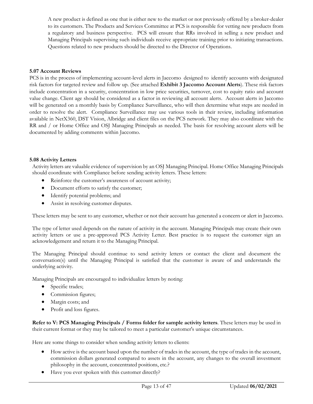A new product is defined as one that is either new to the market or not previously offered by a broker-dealer to its customers. The Products and Services Committee at PCS is responsible for vetting new products from a regulatory and business perspective. PCS will ensure that RRs involved in selling a new product and Managing Principals supervising such individuals receive appropriate training prior to initiating transactions. Questions related to new products should be directed to the Director of Operations.

### **5.07 Account Reviews**

PCS is in the process of implementing account-level alerts in Jaccomo designed to identify accounts with designated risk factors for targeted review and follow up. (See attached **Exhibit 3 Jaccomo Account Alerts**). These risk factors include concentration in a security, concentration in low price securities, turnover, cost to equity ratio and account value change. Client age should be considered as a factor in reviewing all account alerts. Account alerts in Jaccomo will be generated on a monthly basis by Compliance Surveillance, who will then determine what steps are needed in order to resolve the alert. Compliance Surveillance may use various tools in their review, including information available in NetX360, DST Vision, Albridge and client files on the PCS network. They may also coordinate with the RR and / or Home Office and OSJ Managing Principals as needed. The basis for resolving account alerts will be documented by adding comments within Jaccomo.

### **5.08 Activity Letters**

Activity letters are valuable evidence of supervision by an OSJ Managing Principal. Home Office Managing Principals should coordinate with Compliance before sending activity letters. These letters:

- Reinforce the customer's awareness of account activity;
- Document efforts to satisfy the customer;
- Identify potential problems; and
- Assist in resolving customer disputes.

These letters may be sent to any customer, whether or not their account has generated a concern or alert in Jaccomo.

The type of letter used depends on the nature of activity in the account. Managing Principals may create their own activity letters or use a pre-approved PCS Activity Letter. Best practice is to request the customer sign an acknowledgement and return it to the Managing Principal.

The Managing Principal should continue to send activity letters or contact the client and document the conversation(s) until the Managing Principal is satisfied that the customer is aware of and understands the underlying activity.

Managing Principals are encouraged to individualize letters by noting:

- Specific trades;
- Commission figures;
- Margin costs; and
- Profit and loss figures.

**Refer to V: PCS Managing Principals / Forms folder for sample activity letters**. These letters may be used in their current format or they may be tailored to meet a particular customer's unique circumstances.

Here are some things to consider when sending activity letters to clients:

- How active is the account based upon the number of trades in the account, the type of trades in the account, commission dollars generated compared to assets in the account, any changes to the overall investment philosophy in the account, concentrated positions, etc.?
- Have you ever spoken with this customer directly?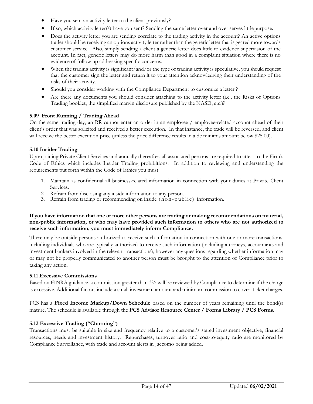- Have you sent an activity letter to the client previously?
- If so, which activity letter(s) have you sent? Sending the same letter over and over serves littlepurpose.
- Does the activity letter you are sending correlate to the trading activity in the account? An active options trader should be receiving an options activity letter rather than the generic letter that is geared more towards customer service. Also, simply sending a client a generic letter does little to evidence supervision of the account. In fact, generic letters may do more harm than good in a complaint situation where there is no evidence of follow up addressing specific concerns.
- When the trading activity is significant/and/or the type of trading activity is speculative, you should request that the customer sign the letter and return it to your attention acknowledging their understanding of the risks of their activity.
- Should you consider working with the Compliance Department to customize a letter ?
- Are there any documents you should consider attaching to the activity letter (i.e., the Risks of Options Trading booklet, the simplified margin disclosure published by the NASD, etc.)?

### **5.09 Front Running / Trading Ahead**

On the same trading day, an RR cannot enter an order in an employee / employee-related account ahead of their client's order that was solicited and received a better execution. In that instance, the trade will be reversed, and client will receive the better execution price (unless the price difference results in a de minimis amount below \$25.00).

### **5.10 Insider Trading**

Upon joining Private Client Services and annually thereafter, all associated persons are required to attest to the Firm's Code of Ethics which includes Insider Trading prohibitions. In addition to reviewing and understanding the requirements put forth within the Code of Ethics you must:

- 1. Maintain as confidential all business-related information in connection with your duties at Private Client Services.
- 2. Refrain from disclosing any inside information to any person.
- 3. Refrain from trading or recommending on inside (non -public) information.

### **If you have information that one or more other persons are trading or making recommendations on material, non-public information, or who may have provided such information to others who are not authorized to receive such information, you must immediately inform Compliance.**

There may be outside persons authorized to receive such information in connection with one or more transactions, including individuals who are typically authorized to receive such information (including attorneys, accountants and investment bankers involved in the relevant transactions), however any questions regarding whether information may or may not be properly communicated to another person must be brought to the attention of Compliance prior to taking any action.

### **5.11 Excessive Commissions**

Based on FINRA guidance, a commission greater than 3% will be reviewed by Compliance to determine if the charge is excessive. Additional factors include a small investment amount and minimum commission to cover ticket charges.

PCS has a **Fixed Income Markup/Down Schedule** based on the number of years remaining until the bond(s) mature. The schedule is available through the **PCS Advisor Resource Center / Forms Library / PCS Forms.**

### **5.12 Excessive Trading ("Churning")**

Transactions must be suitable in size and frequency relative to a customer's stated investment objective, financial resources, needs and investment history. Repurchases, turnover ratio and cost-to-equity ratio are monitored by Compliance Surveillance, with trade and account alerts in Jaccomo being added.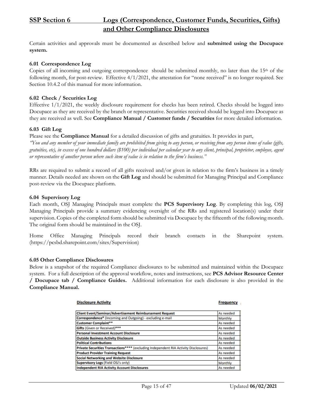### **SSP Section 6 Logs (Correspondence, Customer Funds, Securities, Gifts) and Other Compliance Disclosures**

Certain activities and approvals must be documented as described below and **submitted using the Docupace system.** 

### **6.01 Correspondence Log**

Copies of all incoming and outgoing correspondence should be submitted monthly, no later than the 15<sup>th</sup> of the following month, for post-review. Effective  $4/1/2021$ , the attestation for "none received" is no longer required. See Section 10.4.2 of this manual for more information.

### **6.02 Check / Securities Log**

Effective  $1/1/2021$ , the weekly disclosure requirement for checks has been retired. Checks should be logged into Docupace as they are received by the branch or representative. Securities received should be logged into Docupace as they are received as well. See **Compliance Manual / Customer funds / Securities** for more detailed information.

### **6.03 Gift Log**

Please see the **Compliance Manual** for a detailed discussion of gifts and gratuities. It provides in part,

*"You and any member of your immediate family are prohibited from giving to any person, or receiving from any person items of value (gifts, gratuities, etc), in excess of one hundred dollars (\$100) per individual per calendar year to any client, principal, proprietor, employee, agent or representative of another person where such item of value is in relation to the firm's business."*

RRs are required to submit a record of all gifts received and/or given in relation to the firm's business in a timely manner. Details needed are shown on the **Gift Log** and should be submitted for Managing Principal and Compliance post-review via the Docupace platform.

#### **6.04 Supervisory Log**

Each month, OSJ Managing Principals must complete the **PCS Supervisory Log**. By completing this log, OSJ Managing Principals provide a summary evidencing oversight of the RRs and registered location(s) under their supervision. Copies of the completed form should be submitted via Docupace by the fifteenth of the following month. The original form should be maintained in the OSJ.

Home Office Managing Principals record their branch contacts in the Sharepoint system. (https://pcsbd.sharepoint.com/sites/Supervision)

### **6.05 Other Compliance Disclosures**

Below is a snapshot of the required Compliance disclosures to be submitted and maintained within the Docupace system. For a full description of the approval workflow, notes and instructions, see **PCS Advisor Resource Center / Docupace tab / Compliance Guides.** Additional information for each disclosure is also provided in the **Compliance Manual.**

#### **Disclosure Activity**

#### **Frequency**

| <b>Client Event/Seminar/Advertisement Reimbursement Request</b>                      | As needed |
|--------------------------------------------------------------------------------------|-----------|
| Correspondence* (Incoming and Outgoing) - excluding e-mail                           | Monthly   |
| <b>Customer Complaint**</b>                                                          | As needed |
| Gifts (Given or Received)***                                                         | As needed |
| <b>Personal Investment Account Disclosure</b>                                        | As needed |
| <b>Outside Business Activity Disclosure</b>                                          | As needed |
| <b>Political Contributions</b>                                                       | As needed |
| Private Securities Transactions**** (excluding Independent RIA Activity Disclosures) | As needed |
| <b>Product Provider Training Request</b>                                             | As needed |
| <b>Social Networking and Website Disclosure</b>                                      | As needed |
| Supervisory Logs (Field OSJ's only)                                                  | Monthly   |
| <b>Independent RIA Activity Account Disclosures</b>                                  | As needed |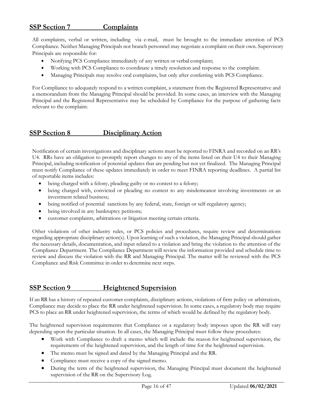### **SSP Section 7 Complaints**

All complaints, verbal or written, including via e-mail, must be brought to the immediate attention of PCS Compliance. Neither Managing Principals nor branch personnel may negotiate a complaint on their own. Supervisory Principals are responsible for:

- Notifying PCS Compliance immediately of any written or verbal complaint;
- Working with PCS Compliance to coordinate a timely resolution and response to the complaint.
- Managing Principals may resolve oral complaints, but only after conferring with PCS Compliance.

For Compliance to adequately respond to a written complaint, a statement from the Registered Representative and a memorandum from the Managing Principal should be provided. In some cases, an interview with the Managing Principal and the Registered Representative may be scheduled by Compliance for the purpose of gathering facts relevant to the complaint.

### **SSP Section 8 Disciplinary Action**

Notification of certain investigations and disciplinary actions must be reported to FINRA and recorded on an RR's U4. RRs have an obligation to promptly report changes to any of the items listed on their U4 to their Managing Principal, including notification of potential updates that are pending but not yet finalized. The Managing Principal must notify Compliance of these updates immediately in order to meet FINRA reporting deadlines. A partial list of reportable items includes:

- being charged with a felony, pleading guilty or no contest to a felony;
- being charged with, convicted or pleading no contest to any misdemeanor involving investments or an investment related business;
- being notified of potential sanctions by any federal, state, foreign or self-regulatory agency;
- being involved in any bankruptcy petitions;
- customer complaints, arbitrations or litigation meeting certain criteria.

Other violations of other industry rules, or PCS policies and procedures, require review and determinations regarding appropriate disciplinary action(s). Upon learning of such a violation, the Managing Principal should gather the necessary details, documentation, and input related to a violation and bring the violation to the attention of the Compliance Department. The Compliance Department will review the information provided and schedule time to review and discuss the violation with the RR and Managing Principal. The matter will be reviewed with the PCS Compliance and Risk Committee in order to determine next steps.

### **SSP Section 9 Heightened Supervision**

If an RR has a history of repeated customer complaints, disciplinary actions, violations of firm policy or arbitrations, Compliance may decide to place the RR under heightened supervision. In some cases, a regulatory body may require PCS to place an RR under heightened supervision, the terms of which would be defined by the regulatory body.

The heightened supervision requirements that Compliance or a regulatory body imposes upon the RR will vary depending upon the particular situation. In all cases, the Managing Principal must follow these procedures:

- Work with Compliance to draft a memo which will include the reason for heightened supervision, the requirements of the heightened supervision, and the length of time for the heightened supervision.
- The memo must be signed and dated by the Managing Principal and the RR.
- Compliance must receive a copy of the signed memo.
- During the term of the heightened supervision, the Managing Principal must document the heightened supervision of the RR on the Supervisory Log.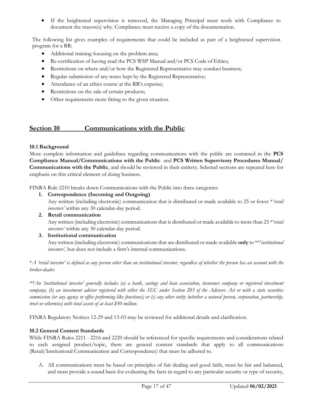• If the heightened supervision is removed, the Managing Principal must work with Compliance to document the reason(s) why. Compliance must receive a copy of the documentation.

The following list gives examples of requirements that could be included as part of a heightened supervision program for a RR:

- Additional training focusing on the problem area;
- Re-certification of having read the PCS WSP Manual and/or PCS Code of Ethics;
- Restrictions on where and/or how the Registered Representative may conduct business;
- Regular submission of any notes kept by the Registered Representative;
- Attendance of an ethics course at the RR's expense;
- Restrictions on the sale of certain products;
- Other requirements more fitting to the given situation.

### **Section 10 Communications with the Public**

### **10.1 Background**

More complete information and guidelines regarding communications with the public are contained in the **PCS Compliance Manual/Communications with the Public** and **PCS Written Supervisory Procedures Manual/ Communications with the Public**, and should be reviewed in their entirety. Selected sections are repeated here for emphasis on this critical element of doing business.

FINRA Rule 2210 breaks down Communications with the Public into three categories:

**1. Correspondence (Incoming and Outgoing)**

Any written (including electronic) communication that is distributed or made available to 25 or fewer \**'retail investors'* within any 30 calendar-day period.

### **2. Retail communication**

Any written (including electronic) communications that is distributed or made available to more than 25 \*'*retail investors'* within any 30 calendar-day period.

**3. Institutional communication**

Any written (including electronic) communications that are distributed or made available **only** to \*\*'*institutional investors',* but does not include a firm's internal communications.

\**A 'retail investor' is defined as any person other than an institutional investor, regardless of whether the person has an account with the broker-dealer.*

*\*\*An 'institutional investor' generally includes (a) a bank, savings and loan association, insurance company or registered investment company; (b) an investment adviser registered with either the SEC under Section 203 of the Advisers Act or with a state securities commission (or any agency or office performing like functions); or (c) any other entity (whether a natural person, corporation, partnership, trust or otherwise) with total assets of at least \$50 million.*

FINRA Regulatory Notices 12-29 and 13-03 may be reviewed for additional details and clarification.

### **10.2 General Content Standards**

While FINRA Rules 2211 - 2216 and 2220 should be referenced for specific requirements and considerations related to each assigned product/topic, there are general content standards that apply to all communications (Retail/Institutional Communication and Correspondence) that must be adhered to.

A. All communications must be based on principles of fair dealing and good faith, must be fair and balanced, and must provide a sound basis for evaluating the facts in regard to any particular security or type of security,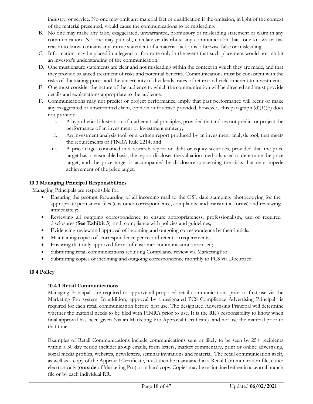industry, or service. No one may omit any material fact or qualification if the omission, in light of the context of the material presented, would cause the communications to be misleading.

- B. No one may make any false, exaggerated, unwarranted, promissory or misleading statement or claim in any communication. No one may publish, circulate or distribute any communication that one knows or has reason to know contains any untrue statement of a material fact or is otherwise false or misleading.
- C. Information may be placed in a legend or footnote only in the event that such placement would not inhibit an investor's understanding of the communication.
- D. One must ensure statements are clear and not misleading within the context in which they are made, and that they provide balanced treatment of risks and potential benefits. Communications must be consistent with the risks of fluctuating prices and the uncertainty of dividends, rates of return and yield inherent to investments.
- E. One must consider the nature of the audience to which the communication will be directed and must provide details and explanations appropriate to the audience.
- F. Communications may not predict or project performance, imply that past performance will recur or make any exaggerated or unwarranted claim, opinion or forecast; provided, however, this paragraph (d)(1)(F) does not prohibit:
	- i. A hypothetical illustration of mathematical principles, provided that it does not predict or project the performance of an investment or investment strategy;
	- ii. An investment analysis tool, or a written report produced by an investment analysis tool, that meets the requirements of FINRA Rule 2214; and
	- iii. A price target contained in a research report on debt or equity securities, provided that the price target has a reasonable basis, the report discloses the valuation methods used to determine the price target, and the price target is accompanied by disclosure concerning the risks that may impede achievement of the price target.

### **10.3 Managing Principal Responsibilities**

Managing Principals are responsible for:

- Ensuring the prompt forwarding of all incoming mail to the OSJ, date stamping, photocopying for the appropriate permanent files (customer correspondence, complaints, and transmittal forms) and reviewing immediately;
- Reviewing all outgoing correspondence to ensure appropriateness, professionalism, use of required disclosures (**See Exhibit 5**) and compliance with policies and guidelines;
- Evidencing review and approval of incoming and outgoing correspondence by their initials.
- Maintaining copies of correspondence per record retention requirements;
- Ensuring that only approved forms of customer communications are used;
- Submitting retail communications requiring Compliance review via MarketingPro;
- Submitting copies of incoming and outgoing correspondence monthly to PCS via Docupace

### **10.4 Policy**

### **10.4.1 Retail Communications**

Managing Principals are required to approve all proposed retail communications prior to first use via the Marketing Pro system. In addition, approval by a designated PCS Compliance Advertising Principal is required for each retail communication before first use. The designated Advertising Principal will determine whether the material needs to be filed with FINRA prior to use. It is the RR's responsibility to know when final approval has been given (via an Marketing Pro Approval Certificate) and not use the material prior to that time.

Examples of Retail Communications include communications sent or likely to be seen by 25+ recipients within a 30 day period include: group emails, form letters, market commentary, print or online advertising, social media profiles, websites, newsletters, seminar invitations and material. The retail communication itself, as well as a copy of the Approval Certificate, must then be maintained in a Retail Communication file, either electronically (**outside** of Marketing Pro) or in hard copy. Copies may be maintained either in a central branch file or by each individual RR.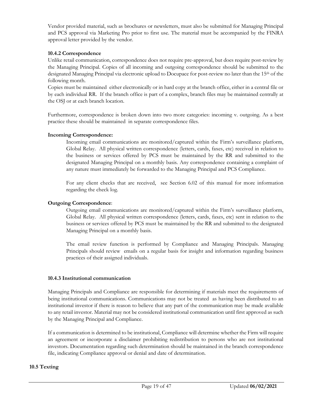Vendor provided material, such as brochures or newsletters, must also be submitted for Managing Principal and PCS approval via Marketing Pro prior to first use. The material must be accompanied by the FINRA approval letter provided by the vendor.

### **10.4.2 Correspondence**

Unlike retail communication, correspondence does not require pre-approval, but does require post-review by the Managing Principal. Copies of all incoming and outgoing correspondence should be submitted to the designated Managing Principal via electronic upload to Docupace for post-review no later than the 15th of the following month.

Copies must be maintained either electronically or in hard copy at the branch office, either in a central file or by each individual RR. If the branch office is part of a complex, branch files may be maintained centrally at the OSJ or at each branch location.

Furthermore, correspondence is broken down into two more categories: incoming v. outgoing. As a best practice these should be maintained in separate correspondence files.

### **Incoming Correspondence:**

Incoming email communications are monitored/captured within the Firm's surveillance platform, Global Relay. All physical written correspondence (letters, cards, faxes, etc) received in relation to the business or services offered by PCS must be maintained by the RR and submitted to the designated Managing Principal on a monthly basis. Any correspondence containing a complaint of any nature must immediately be forwarded to the Managing Principal and PCS Compliance.

For any client checks that are received, see Section 6.02 of this manual for more information regarding the check log.

### **Outgoing Correspondence**:

Outgoing email communications are monitored/captured within the Firm's surveillance platform, Global Relay. All physical written correspondence (letters, cards, faxes, etc) sent in relation to the business or services offered by PCS must be maintained by the RR and submitted to the designated Managing Principal on a monthly basis.

The email review function is performed by Compliance and Managing Principals. Managing Principals should review emails on a regular basis for insight and information regarding business practices of their assigned individuals.

### **10.4.3 Institutional communication**

Managing Principals and Compliance are responsible for determining if materials meet the requirements of being institutional communications. Communications may not be treated as having been distributed to an institutional investor if there is reason to believe that any part of the communication may be made available to any retail investor. Material may not be considered institutional communication until first approved as such by the Managing Principal and Compliance.

If a communication is determined to be institutional, Compliance will determine whether the Firm will require an agreement or incorporate a disclaimer prohibiting redistribution to persons who are not institutional investors. Documentation regarding such determination should be maintained in the branch correspondence file, indicating Compliance approval or denial and date of determination.

### **10.5 Texting**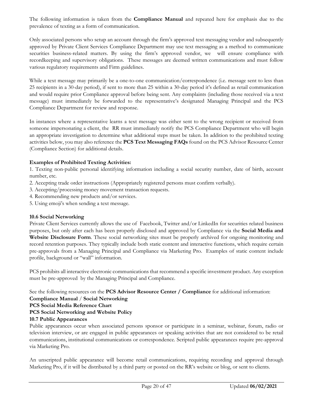The following information is taken from the **Compliance Manual** and repeated here for emphasis due to the prevalence of texting as a form of communication.

Only associated persons who setup an account through the firm's approved text messaging vendor and subsequently approved by Private Client Services Compliance Department may use text messaging as a method to communicate securities business-related matters. By using the firm's approved vendor, we will ensure compliance with recordkeeping and supervisory obligations. These messages are deemed written communications and must follow various regulatory requirements and Firm guidelines.

While a text message may primarily be a one-to-one communication/correspondence (i.e. message sent to less than 25 recipients in a 30-day period), if sent to more than 25 within a 30-day period it's defined as retail communication and would require prior Compliance approval before being sent. Any complaints (including those received via a text message) must immediately be forwarded to the representative's designated Managing Principal and the PCS Compliance Department for review and response.

In instances where a representative learns a text message was either sent to the wrong recipient or received from someone impersonating a client, the RR must immediately notify the PCS Compliance Department who will begin an appropriate investigation to determine what additional steps must be taken. In addition to the prohibited texting activities below, you may also reference the **PCS Text Messaging FAQs** found on the PCS Advisor Resource Center (Compliance Section) for additional details.

### **Examples of Prohibited Texting Activities:**

1. Texting non-public personal identifying information including a social security number, date of birth, account number, etc.

- 2. Accepting trade order instructions (Appropriately registered persons must confirm verbally).
- 3. Accepting/processing money movement transaction requests.
- 4. Recommending new products and/or services.
- 5. Using emoji's when sending a text message.

### **10.6 Social Networking**

Private Client Services currently allows the use of Facebook, Twitter and/or LinkedIn for securities related business purposes, but only after each has been properly disclosed and approved by Compliance via the **Social Media and Website Disclosure Form**. These social networking sites must be properly archived for ongoing monitoring and record retention purposes. They typically include both static content and interactive functions, which require certain pre-approvals from a Managing Principal and Compliance via Marketing Pro. Examples of static content include profile, background or "wall" information.

PCS prohibits all interactive electronic communications that recommend a specific investment product. Any exception must be pre-approved by the Managing Principal and Compliance.

See the following resources on the **PCS Advisor Resource Center / Compliance** for additional information:

### **Compliance Manual** / **Social Networking**

### **PCS Social Media Reference Chart**

### **PCS Social Networking and Website Policy**

### **10.7 Public Appearances**

Public appearances occur when associated persons sponsor or participate in a seminar, webinar, forum, radio or television interview, or are engaged in public appearances or speaking activities that are not considered to be retail communications, institutional communications or correspondence. Scripted public appearances require pre-approval via Marketing Pro.

An unscripted public appearance will become retail communications, requiring recording and approval through Marketing Pro, if it will be distributed by a third party or posted on the RR's website or blog, or sent to clients.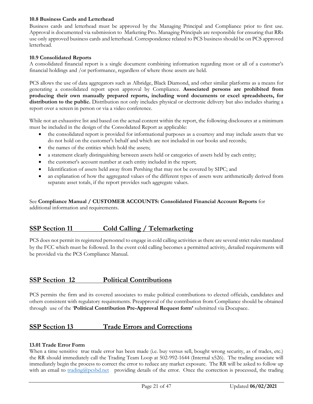### **10.8 Business Cards and Letterhead**

Business cards and letterhead must be approved by the Managing Principal and Compliance prior to first use. Approval is documented via submission to Marketing Pro. Managing Principals are responsible for ensuring that RRs use only approved business cards and letterhead. Correspondence related to PCS business should be on PCS approved letterhead.

### **10.9 Consolidated Reports**

A consolidated financial report is a single document combining information regarding most or all of a customer's financial holdings and /or performance, regardless of where those assets are held.

PCS allows the use of data aggregators such as Albridge, Black Diamond, and other similar platforms as a means for generating a consolidated report upon approval by Compliance. **Associated persons are prohibited from producing their own manually prepared reports, including word documents or excel spreadsheets, for distribution to the public.** Distribution not only includes physical or electronic delivery but also includes sharing a report over a screen in person or via a video conference.

While not an exhaustive list and based on the actual content within the report, the following disclosures at a minimum must be included in the design of the Consolidated Report as applicable:

- the consolidated report is provided for informational purposes as a courtesy and may include assets that we do not hold on the customer's behalf and which are not included in our books and records;
- the names of the entities which hold the assets;
- a statement clearly distinguishing between assets held or categories of assets held by each entity;
- the customer's account number at each entity included in the report;
- Identification of assets held away from Pershing that may not be covered by SIPC; and
- an explanation of how the aggregated values of the different types of assets were arithmetically derived from separate asset totals, if the report provides such aggregate values.

See **Compliance Manual / CUSTOMER ACCOUNTS: Consolidated Financial Account Reports** for additional information and requirements.

### **SSP Section 11 Cold Calling / Telemarketing**

PCS does not permit its registered personnel to engage in cold calling activities as there are several strict rules mandated by the FCC which must be followed. In the event cold calling becomes a permitted activity, detailed requirements will be provided via the PCS Compliance Manual.

### **SSP Section 12 Political Contributions**

PCS permits the firm and its covered associates to make political contributions to elected officials, candidates and others consistent with regulatory requirements. Preapproval of the contribution from Compliance should be obtained through use of the '**Political Contribution Pre-Approval Request form'** submitted via Docupace.

### **SSP Section 13 Trade Errors and Corrections**

### **13.01 Trade Error Form**

When a time sensitive true trade error has been made (i.e. buy versus sell, bought wrong security, as of trades, etc.) the RR should immediately call the Trading Team Loop at 502-992-1644 (Internal x526). The trading associate will immediately begin the process to correct the error to reduce any market exposure. The RR will be asked to follow up with an email to **trading@pcsbd.net** providing details of the error. Once the correction is processed, the trading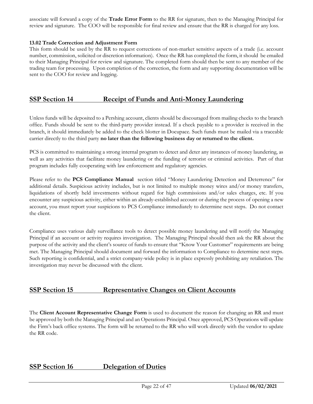associate will forward a copy of the **Trade Error Form** to the RR for signature, then to the Managing Principal for review and signature. The COO will be responsible for final review and ensure that the RR is charged for any loss.

### **13.02 Trade Correction and Adjustment Form**

This form should be used by the RR to request corrections of non-market sensitive aspects of a trade (i.e. account number, commission, solicited or discretion information). Once the RR has completed the form, it should be emailed to their Managing Principal for review and signature. The completed form should then be sent to any member of the trading team for processing. Upon completion of the correction, the form and any supporting documentation will be sent to the COO for review and logging.

### **SSP Section 14 Receipt of Funds and Anti-Money Laundering**

Unless funds will be deposited to a Pershing account, clients should be discouraged from mailing checks to the branch office. Funds should be sent to the third-party provider instead. If a check payable to a provider is received in the branch, it should immediately be added to the check blotter in Docupace. Such funds must be mailed via a traceable carrier directly to the third party **no later than the following business day or returned to the client.** 

PCS is committed to maintaining a strong internal program to detect and deter any instances of money laundering, as well as any activities that facilitate money laundering or the funding of terrorist or criminal activities. Part of that program includes fully cooperating with law enforcement and regulatory agencies.

Please refer to the PCS Compliance Manual section titled "Money Laundering Detection and Deterrence" for additional details. Suspicious activity includes, but is not limited to multiple money wires and/or money transfers, liquidations of shortly held investments without regard for high commissions and/or sales charges, etc. If you encounter any suspicious activity, either within an already-established account or during the process of opening a new account, you must report your suspicions to PCS Compliance immediately to determine next steps. Do not contact the client.

Compliance uses various daily surveillance tools to detect possible money laundering and will notify the Managing Principal if an account or activity requires investigation. The Managing Principal should then ask the RR about the purpose of the activity and the client's source of funds to ensure that "Know Your Customer" requirements are being met. The Managing Principal should document and forward the information to Compliance to determine next steps. Such reporting is confidential, and a strict company-wide policy is in place expressly prohibiting any retaliation. The investigation may never be discussed with the client.

### **SSP Section 15 Representative Changes on Client Accounts**

The **Client Account Representative Change Form** is used to document the reason for changing an RR and must be approved by both the Managing Principal and an Operations Principal. Once approved, PCS Operations will update the Firm's back office systems. The form will be returned to the RR who will work directly with the vendor to update the RR code.

### **SSP Section 16 Delegation of Duties**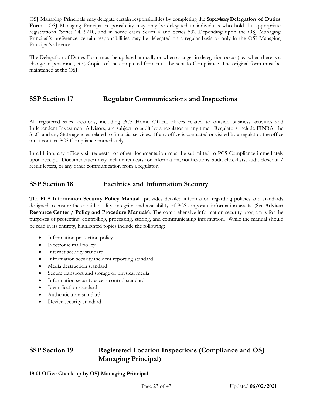OSJ Managing Principals may delegate certain responsibilities by completing the **Supervisory Delegation of Duties**  Form. OSJ Managing Principal responsibility may only be delegated to individuals who hold the appropriate registrations (Series 24, 9/10, and in some cases Series 4 and Series 53). Depending upon the OSJ Managing Principal's preference, certain responsibilities may be delegated on a regular basis or only in the OSJ Managing Principal's absence.

The Delegation of Duties Form must be updated annually or when changes in delegation occur (i.e., when there is a change in personnel, etc.) Copies of the completed form must be sent to Compliance. The original form must be maintained at the OSJ.

### **SSP Section 17 Regulator Communications and Inspections**

All registered sales locations, including PCS Home Office, offices related to outside business activities and Independent Investment Advisors, are subject to audit by a regulator at any time. Regulators include FINRA, the SEC, and any State agencies related to financial services. If any office is contacted or visited by a regulator, the office must contact PCS Compliance immediately.

In addition, any office visit requests or other documentation must be submitted to PCS Compliance immediately upon receipt. Documentation may include requests for information, notifications, audit checklists, audit closeout / result letters, or any other communication from a regulator.

### **SSP Section 18 Facilities and Information Security**

The **PCS Information Security Policy Manual** provides detailed information regarding policies and standards designed to ensure the confidentiality, integrity, and availability of PCS corporate information assets. (See **Advisor Resource Center / Policy and Procedure Manuals**). The comprehensive information security program is for the purposes of protecting, controlling, processing, storing, and communicating information. While the manual should be read in its entirety, highlighted topics include the following:

- Information protection policy
- Electronic mail policy
- Internet security standard
- Information security incident reporting standard
- Media destruction standard
- Secure transport and storage of physical media
- Information security access control standard
- Identification standard
- Authentication standard
- Device security standard

### **SSP Section 19 Registered Location Inspections (Compliance and OSJ Managing Principal)**

### **19.01 Office Check-up by OSJ Managing Principal**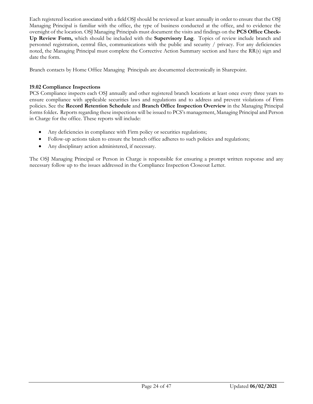Each registered location associated with a field OSJ should be reviewed at least annually in order to ensure that the OSJ Managing Principal is familiar with the office, the type of business conducted at the office, and to evidence the oversight of the location. OSJ Managing Principals must document the visits and findings on the **PCS Office Check-Up Review Form,** which should be included with the **Supervisory Log**.Topics of review include branch and personnel registration, central files, communications with the public and security / privacy. For any deficiencies noted, the Managing Principal must complete the Corrective Action Summary section and have the RR(s) sign and date the form.

Branch contacts by Home Office Managing Principals are documented electronically in Sharepoint.

### **19.02 Compliance Inspections**

PCS Compliance inspects each OSJ annually and other registered branch locations at least once every three years to ensure compliance with applicable securities laws and regulations and to address and prevent violations of Firm policies. See the **Record Retention Schedule** and **Branch Office Inspection Overview** in the Managing Principal forms folder**.** Reports regarding these inspections will be issued to PCS's management, Managing Principal and Person in Charge for the office. These reports will include:

- Any deficiencies in compliance with Firm policy or securities regulations;
- Follow-up actions taken to ensure the branch office adheres to such policies and regulations;
- Any disciplinary action administered, if necessary.

The OSJ Managing Principal or Person in Charge is responsible for ensuring a prompt written response and any necessary follow up to the issues addressed in the Compliance Inspection Closeout Letter.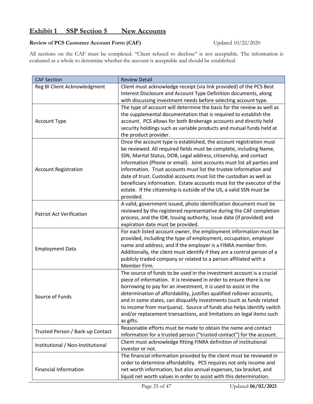### **Exhibit 1 SSP Section 5 New Accounts**

### **Review of PCS Customer Account Form (CAF)** Updated  $10/22/2020$

All sections on the CAF must be completed. "Client refused to disclose" is not acceptable. The information is evaluated as a whole to determine whether the account is acceptable and should be established.

| <b>CAF Section</b>                | <b>Review Detail</b>                                                                                                                                                                                                                                                                                                                                                                                                                                                                                                                                                                                 |
|-----------------------------------|------------------------------------------------------------------------------------------------------------------------------------------------------------------------------------------------------------------------------------------------------------------------------------------------------------------------------------------------------------------------------------------------------------------------------------------------------------------------------------------------------------------------------------------------------------------------------------------------------|
| Reg BI Client Acknowledgment      | Client must acknowledge receipt (via link provided) of the PCS Best<br>Interest Disclosure and Account Type Definition documents, along<br>with discussing investment needs before selecting account type.                                                                                                                                                                                                                                                                                                                                                                                           |
| <b>Account Type</b>               | The type of account will determine the basis for the review as well as<br>the supplemental documentation that is required to establish the<br>account. PCS allows for both Brokerage accounts and directly held<br>security holdings such as variable products and mutual funds held at<br>the product provider.                                                                                                                                                                                                                                                                                     |
| <b>Account Registration</b>       | Once the account type is established, the account registration must<br>be reviewed. All required fields must be complete, including Name,<br>SSN, Marital Status, DOB, Legal address, citizenship, and contact<br>information (Phone or email). Joint accounts must list all parties and<br>information. Trust accounts must list the trustee information and<br>date of trust. Custodial accounts must list the custodian as well as<br>beneficiary information. Estate accounts must list the executor of the<br>estate. If the citizenship is outside of the US, a valid SSN must be<br>provided. |
| <b>Patriot Act Verification</b>   | A valid, government issued, photo identification document must be<br>reviewed by the registered representative during the CAF completion<br>process, and the ID#, Issuing authority, issue date (if provided) and<br>expiration date must be provided.                                                                                                                                                                                                                                                                                                                                               |
| <b>Employment Data</b>            | For each listed account owner, the employment information must be<br>provided, including the type of employment, occupation, employer<br>name and address, and if the employer is a FINRA member firm.<br>Additionally, the client must identify if they are a control person of a<br>publicly traded company or related to a person affiliated with a<br>Member Firm.                                                                                                                                                                                                                               |
| Source of Funds                   | The source of funds to be used in the investment account is a crucial<br>piece of information. It is reviewed in order to ensure there is no<br>borrowing to pay for an investment, it is used to assist in the<br>determination of affordability, justifies qualified rollover accounts,<br>and in some states, can disqualify investments (such as funds related<br>to income from marijuana). Source of funds also helps identify switch<br>and/or replacement transactions, and limitations on legal items such<br>as gifts.                                                                     |
| Trusted Person / Back-up Contact  | Reasonable efforts must be made to obtain the name and contact<br>information for a trusted person ("trusted contact") for the account.                                                                                                                                                                                                                                                                                                                                                                                                                                                              |
| Institutional / Non-Institutional | Client must acknowledge fitting FINRA definition of institutional<br>investor or not.                                                                                                                                                                                                                                                                                                                                                                                                                                                                                                                |
| <b>Financial Information</b>      | The financial information provided by the client must be reviewed in<br>order to determine affordability. PCS requires not only income and<br>net worth information, but also annual expenses, tax bracket, and<br>liquid net worth values in order to assist with this determination.                                                                                                                                                                                                                                                                                                               |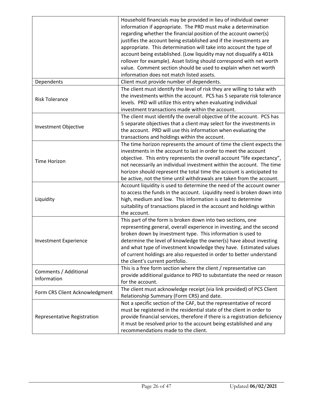|                                | Household financials may be provided in lieu of individual owner            |
|--------------------------------|-----------------------------------------------------------------------------|
|                                | information if appropriate. The PRD must make a determination               |
|                                | regarding whether the financial position of the account owner(s)            |
|                                | justifies the account being established and if the investments are          |
|                                | appropriate. This determination will take into account the type of          |
|                                | account being established. (Low liquidity may not disqualify a 401k         |
|                                | rollover for example). Asset listing should correspond with net worth       |
|                                | value. Comment section should be used to explain when net worth             |
|                                | information does not match listed assets.                                   |
| Dependents                     | Client must provide number of dependents.                                   |
|                                | The client must identify the level of risk they are willing to take with    |
|                                | the investments within the account. PCS has 5 separate risk tolerance       |
| <b>Risk Tolerance</b>          | levels. PRD will utilize this entry when evaluating individual              |
|                                | investment transactions made within the account.                            |
|                                | The client must identify the overall objective of the account. PCS has      |
|                                |                                                                             |
| Investment Objective           | 5 separate objectives that a client may select for the investments in       |
|                                | the account. PRD will use this information when evaluating the              |
|                                | transactions and holdings within the account.                               |
|                                | The time horizon represents the amount of time the client expects the       |
|                                | investments in the account to last in order to meet the account             |
| Time Horizon                   | objective. This entry represents the overall account "life expectancy",     |
|                                | not necessarily an individual investment within the account. The time       |
|                                | horizon should represent the total time the account is anticipated to       |
|                                | be active, not the time until withdrawals are taken from the account.       |
|                                | Account liquidity is used to determine the need of the account owner        |
|                                | to access the funds in the account. Liquidity need is broken down into      |
| Liquidity                      | high, medium and low. This information is used to determine                 |
|                                | suitability of transactions placed in the account and holdings within       |
|                                | the account.                                                                |
|                                | This part of the form is broken down into two sections, one                 |
|                                | representing general, overall experience in investing, and the second       |
|                                | broken down by investment type. This information is used to                 |
| <b>Investment Experience</b>   | determine the level of knowledge the owner(s) have about investing          |
|                                | and what type of investment knowledge they have. Estimated values           |
|                                | of current holdings are also requested in order to better understand        |
|                                | the client's current portfolio.                                             |
|                                | This is a free form section where the client / representative can           |
| Comments / Additional          | provide additional guidance to PRD to substantiate the need or reason       |
| Information                    | for the account.                                                            |
|                                | The client must acknowledge receipt (via link provided) of PCS Client       |
| Form CRS Client Acknowledgment | Relationship Summary (Form CRS) and date.                                   |
|                                | Not a specific section of the CAF, but the representative of record         |
|                                | must be registered in the residential state of the client in order to       |
| Representative Registration    | provide financial services, therefore if there is a registration deficiency |
|                                | it must be resolved prior to the account being established and any          |
|                                | recommendations made to the client.                                         |
|                                |                                                                             |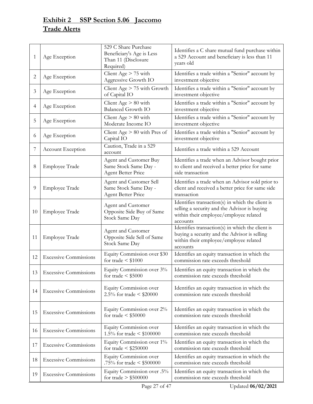### **Exhibit 2 SSP Section 5.06 Jaccomo Trade Alerts**

| $\mathbf{1}$   | Age Exception                | 529 C Share Purchase<br>Beneficiary's Age is Less<br>Than 11 (Disclosure<br>Required) | Identifies a C share mutual fund purchase within<br>a 529 Account and beneficiary is less than 11<br>years old                                         |
|----------------|------------------------------|---------------------------------------------------------------------------------------|--------------------------------------------------------------------------------------------------------------------------------------------------------|
| $\mathbf{2}$   | Age Exception                | Client Age $> 75$ with<br>Aggressive Growth IO                                        | Identifies a trade within a "Senior" account by<br>investment objective                                                                                |
| 3              | Age Exception                | Client Age $> 75$ with Growth<br>of Capital IO                                        | Identifies a trade within a "Senior" account by<br>investment objective                                                                                |
| 4              | Age Exception                | Client Age $> 80$ with<br><b>Balanced Growth IO</b>                                   | Identifies a trade within a "Senior" account by<br>investment objective                                                                                |
| 5              | Age Exception                | Client Age $> 80$ with<br>Moderate Income IO                                          | Identifies a trade within a "Senior" account by<br>investment objective                                                                                |
| 6              | Age Exception                | Client Age $> 80$ with Pres of<br>Capital IO                                          | Identifies a trade within a "Senior" account by<br>investment objective                                                                                |
| $\overline{7}$ | Account Exception            | Caution, Trade in a 529<br>account                                                    | Identifies a trade within a 529 Account                                                                                                                |
| 8              | <b>Employee Trade</b>        | Agent and Customer Buy<br>Same Stock Same Day -<br><b>Agent Better Price</b>          | Identifies a trade when an Advisor bought prior<br>to client and received a better price for same<br>side transaction                                  |
| 9              | <b>Employee Trade</b>        | Agent and Customer Sell<br>Same Stock Same Day -<br><b>Agent Better Price</b>         | Identifies a trade when an Advisor sold prior to<br>client and received a better price for same side<br>transaction                                    |
| 10             | <b>Employee Trade</b>        | Agent and Customer<br>Opposite Side Buy of Same<br>Stock Same Day                     | Identifies transaction(s) in which the client is<br>selling a security and the Advisor is buying<br>within their employee/employee related<br>accounts |
| 11             | <b>Employee Trade</b>        | Agent and Customer<br>Opposite Side Sell of Same<br>Stock Same Day                    | Identifies transaction(s) in which the client is<br>buying a security and the Advisor is selling<br>within their employee/employee related<br>accounts |
| 12             | <b>Excessive Commissions</b> | Equity Commission over \$30<br>for trade $\leq$ \$1000                                | Identifies an equity transaction in which the<br>commission rate exceeds threshold                                                                     |
|                | 13 Excessive Commissions     | Equity Commission over 3%<br>for trade $\leq$ \$5000                                  | Identifies an equity transaction in which the<br>commission rate exceeds threshold                                                                     |
| 14             | <b>Excessive Commissions</b> | Equity Commission over<br>2.5% for trade < $$20000$                                   | Identifies an equity transaction in which the<br>commission rate exceeds threshold                                                                     |
| 15             | <b>Excessive Commissions</b> | Equity Commission over 2%<br>for trade $\leq$ \$50000                                 | Identifies an equity transaction in which the<br>commission rate exceeds threshold                                                                     |
| 16             | <b>Excessive Commissions</b> | Equity Commission over<br>1.5% for trade < $$100000$                                  | Identifies an equity transaction in which the<br>commission rate exceeds threshold                                                                     |
| 17             | <b>Excessive Commissions</b> | Equity Commission over 1%<br>for trade $\leq$ \$250000                                | Identifies an equity transaction in which the<br>commission rate exceeds threshold                                                                     |
| 18             | <b>Excessive Commissions</b> | <b>Equity Commission over</b><br>.75% for trade < $$500000$                           | Identifies an equity transaction in which the<br>commission rate exceeds threshold                                                                     |
| 19             | <b>Excessive Commissions</b> | Equity Commission over .5%<br>for trade $> $500000$                                   | Identifies an equity transaction in which the<br>commission rate exceeds threshold                                                                     |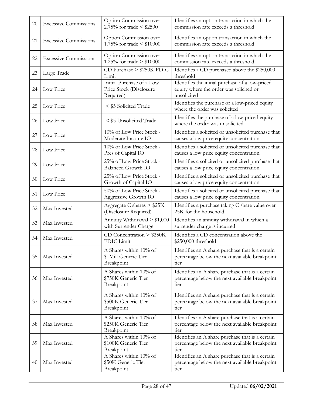| 20 | <b>Excessive Commissions</b> | Option Commission over<br>2.75% for trade < $$2500$               | Identifies an option transaction in which the<br>commission rate exceeds a threshold                       |
|----|------------------------------|-------------------------------------------------------------------|------------------------------------------------------------------------------------------------------------|
| 21 | <b>Excessive Commissions</b> | Option Commission over<br>1.75% for trade < $$10000$              | Identifies an option transaction in which the<br>commission rate exceeds a threshold                       |
| 22 | <b>Excessive Commissions</b> | Option Commission over<br>1.25% for trade $> $10000$              | Identifies an option transaction in which the<br>commission rate exceeds a threshold                       |
| 23 | Large Trade                  | CD Purchase > \$250K FDIC<br>Limit                                | Identifies a CD purchased above the \$250,000<br>threshold                                                 |
| 24 | Low Price                    | Initial Purchase of a Low<br>Price Stock (Disclosure<br>Required) | Identifies the initial purchase of a low-priced<br>equity where the order was solicited or<br>unsolicited  |
| 25 | Low Price                    | < \$5 Solicited Trade                                             | Identifies the purchase of a low-priced equity<br>where the order was solicited                            |
| 26 | Low Price                    | < \$5 Unsolicited Trade                                           | Identifies the purchase of a low-priced equity<br>where the order was unsolicited                          |
| 27 | Low Price                    | 10% of Low Price Stock -<br>Moderate Income IO                    | Identifies a solicited or unsolicited purchase that<br>causes a low price equity concentration             |
| 28 | Low Price                    | 10% of Low Price Stock -<br>Pres of Capital IO                    | Identifies a solicited or unsolicited purchase that<br>causes a low price equity concentration             |
| 29 | Low Price                    | 25% of Low Price Stock -<br><b>Balanced Growth IO</b>             | Identifies a solicited or unsolicited purchase that<br>causes a low price equity concentration             |
| 30 | Low Price                    | 25% of Low Price Stock -<br>Growth of Capital IO                  | Identifies a solicited or unsolicited purchase that<br>causes a low price equity concentration             |
| 31 | Low Price                    | 50% of Low Price Stock -<br>Aggressive Growth IO                  | Identifies a solicited or unsolicited purchase that<br>causes a low price equity concentration             |
| 32 | Max Invested                 | Aggregate C shares > \$25K<br>(Disclosure Required)               | Identifies a purchase taking C share value over<br>25K for the household                                   |
| 33 | Max Invested                 | Annuity Withdrawal > \$1,000<br>with Surrender Charge             | Identifies an annuity withdrawal in which a<br>surrender charge is incurred                                |
| 34 | Max Invested                 | CD Concentration $> $250K$<br>FDIC Limit                          | Identifies a CD concentration above the<br>\$250,000 threshold                                             |
| 35 | Max Invested                 | A Shares within 10% of<br>\$1Mill Generic Tier<br>Breakpoint      | Identifies an A share purchase that is a certain<br>percentage below the next available breakpoint<br>tier |
| 36 | Max Invested                 | A Shares within 10% of<br>\$750K Generic Tier<br>Breakpoint       | Identifies an A share purchase that is a certain<br>percentage below the next available breakpoint<br>tier |
| 37 | Max Invested                 | A Shares within 10% of<br>\$500K Generic Tier<br>Breakpoint       | Identifies an A share purchase that is a certain<br>percentage below the next available breakpoint<br>tier |
| 38 | Max Invested                 | A Shares within 10% of<br>\$250K Generic Tier<br>Breakpoint       | Identifies an A share purchase that is a certain<br>percentage below the next available breakpoint<br>tier |
| 39 | Max Invested                 | A Shares within 10% of<br>\$100K Generic Tier<br>Breakpoint       | Identifies an A share purchase that is a certain<br>percentage below the next available breakpoint<br>tier |
| 40 | Max Invested                 | A Shares within 10% of<br>\$50K Generic Tier<br>Breakpoint        | Identifies an A share purchase that is a certain<br>percentage below the next available breakpoint<br>tier |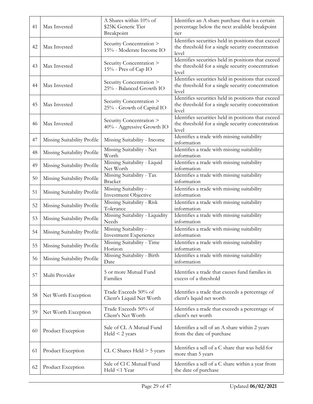| 41 | Max Invested                     | A Shares within 10% of<br>\$25K Generic Tier<br>Breakpoint | Identifies an A share purchase that is a certain<br>percentage below the next available breakpoint<br>tier        |
|----|----------------------------------|------------------------------------------------------------|-------------------------------------------------------------------------------------------------------------------|
| 42 | Max Invested                     | Security Concentration ><br>15% - Moderate Income IO       | Identifies securities held in positions that exceed<br>the threshold for a single security concentration<br>level |
| 43 | Max Invested                     | Security Concentration ><br>15% - Pres of Cap IO           | Identifies securities held in positions that exceed<br>the threshold for a single security concentration<br>level |
| 44 | Max Invested                     | Security Concentration ><br>25% - Balanced Growth IO       | Identifies securities held in positions that exceed<br>the threshold for a single security concentration<br>level |
| 45 | Max Invested                     | Security Concentration ><br>25% - Growth of Capital IO     | Identifies securities held in positions that exceed<br>the threshold for a single security concentration<br>level |
| 46 | Max Invested                     | Security Concentration ><br>40% - Aggressive Growth IO     | Identifies securities held in positions that exceed<br>the threshold for a single security concentration<br>level |
| 47 | Missing Suitability Profile      | Missing Suitability - Income                               | Identifies a trade with missing suitability<br>information                                                        |
| 48 | Missing Suitability Profile      | Missing Suitability - Net<br>Worth                         | Identifies a trade with missing suitability<br>information                                                        |
| 49 | Missing Suitability Profile      | Missing Suitability - Liquid<br>Net Worth                  | Identifies a trade with missing suitability<br>information                                                        |
| 50 | Missing Suitability Profile      | Missing Suitability - Tax<br><b>Bracket</b>                | Identifies a trade with missing suitability<br>information                                                        |
| 51 | Missing Suitability Profile      | Missing Suitability -<br>Investment Objective              | Identifies a trade with missing suitability<br>information                                                        |
| 52 | Missing Suitability Profile      | Missing Suitability - Risk<br>Tolerance                    | Identifies a trade with missing suitability<br>information                                                        |
| 53 | Missing Suitability Profile      | Missing Suitability - Liquidity<br>Needs                   | Identifies a trade with missing suitability<br>information                                                        |
| 54 | Missing Suitability Profile      | Missing Suitability -<br>Investment Experience             | Identifies a trade with missing suitability<br>information                                                        |
|    | 55   Missing Suitability Profile | Missing Suitability - Time<br>Horizon                      | Identifies a trade with missing suitability<br>information                                                        |
| 56 | Missing Suitability Profile      | Missing Suitability - Birth<br>Date                        | Identifies a trade with missing suitability<br>information                                                        |
| 57 | Multi Provider                   | 5 or more Mutual Fund<br>Families                          | Identifies a trade that causes fund families in<br>excess of a threshold                                          |
| 58 | Net Worth Exception              | Trade Exceeds 50% of<br>Client's Liquid Net Worth          | Identifies a trade that exceeds a percentage of<br>client's liquid net worth                                      |
| 59 | Net Worth Exception              | Trade Exceeds 50% of<br>Client's Net Worth                 | Identifies a trade that exceeds a percentage of<br>client's net worth                                             |
| 60 | Product Exception                | Sale of CL A Mutual Fund<br>$Held < 2$ years               | Identifies a sell of an A share within 2 years<br>from the date of purchase                                       |
| 61 | Product Exception                | $CL C$ Shares Held $> 5$ years                             | Identifies a sell of a C share that was held for<br>more than 5 years                                             |
| 62 | Product Exception                | Sale of Cl C Mutual Fund<br>Held <1 Year                   | Identifies a sell of a C share within a year from<br>the date of purchase                                         |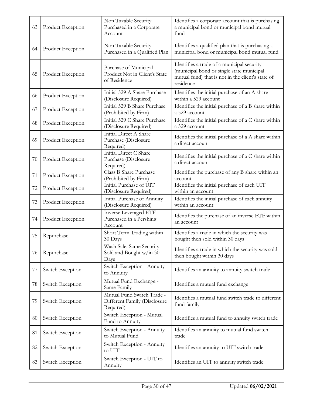| 63     | Product Exception | Non Taxable Security<br>Purchased in a Corporate<br>Account             | Identifies a corporate account that is purchasing<br>a municipal bond or municipal bond mutual<br>fund                                                    |
|--------|-------------------|-------------------------------------------------------------------------|-----------------------------------------------------------------------------------------------------------------------------------------------------------|
| 64     | Product Exception | Non Taxable Security<br>Purchased in a Qualified Plan                   | Identifies a qualified plan that is purchasing a<br>municipal bond or municipal bond mutual fund                                                          |
| 65     | Product Exception | Purchase of Municipal<br>Product Not in Client's State<br>of Residence  | Identifies a trade of a municipal security<br>(municipal bond or single state municipal<br>mutual fund) that is not in the client's state of<br>residence |
| 66     | Product Exception | Initial 529 A Share Purchase<br>(Disclosure Required)                   | Identifies the initial purchase of an A share<br>within a 529 account                                                                                     |
| 67     | Product Exception | Initial 529 B Share Purchase<br>(Prohibited by Firm)                    | Identifies the initial purchase of a B share within<br>a 529 account                                                                                      |
| 68     | Product Exception | Initial 529 C Share Purchase<br>(Disclosure Required)                   | Identifies the initial purchase of a C share within<br>a 529 account                                                                                      |
| 69     | Product Exception | Initial Direct A Share<br>Purchase (Disclosure<br>Required)             | Identifies the initial purchase of a A share within<br>a direct account                                                                                   |
| 70     | Product Exception | Initial Direct C Share<br>Purchase (Disclosure<br>Required)             | Identifies the initial purchase of a C share within<br>a direct account                                                                                   |
| 71     | Product Exception | Class B Share Purchase<br>(Prohibited by Firm)                          | Identifies the purchase of any B share within an<br>account                                                                                               |
| 72     | Product Exception | Initial Purchase of UIT<br>(Disclosure Required)                        | Identifies the initial purchase of each UIT<br>within an account                                                                                          |
| 73     | Product Exception | Initial Purchase of Annuity<br>(Disclosure Required)                    | Identifies the initial purchase of each annuity<br>within an account                                                                                      |
| 74     | Product Exception | Inverse Leveraged ETF<br>Purchased in a Pershing<br>Account             | Identifies the purchase of an inverse ETF within<br>an account                                                                                            |
| 75     | Repurchase        | Short Term Trading within<br>$30\ \mathrm{Days}$                        | Identifies a trade in which the security was<br>bought then sold within 30 days                                                                           |
| 76     | Repurchase        | Wash Sale, Same Security<br>Sold and Bought w/in 30<br>Days             | Identifies a trade in which the security was sold<br>then bought within 30 days                                                                           |
| 77     | Switch Exception  | Switch Exception - Annuity<br>to Annuity                                | Identifies an annuity to annuity switch trade                                                                                                             |
| 78     | Switch Exception  | Mutual Fund Exchange -<br>Same Family                                   | Identifies a mutual fund exchange                                                                                                                         |
| 79     | Switch Exception  | Mutual Fund Switch Trade -<br>Different Family (Disclosure<br>Required) | Identifies a mutual fund switch trade to different<br>fund family                                                                                         |
| $80\,$ | Switch Exception  | Switch Exception - Mutual<br>Fund to Annuity                            | Identifies a mutual fund to annuity switch trade                                                                                                          |
| 81     | Switch Exception  | Switch Exception - Annuity<br>to Mutual Fund                            | Identifies an annuity to mutual fund switch<br>trade                                                                                                      |
| 82     | Switch Exception  | Switch Exception - Annuity<br>to UIT                                    | Identifies an annuity to UIT switch trade                                                                                                                 |
| 83     | Switch Exception  | Switch Exception - UIT to<br>Annuity                                    | Identifies an UIT to annuity switch trade                                                                                                                 |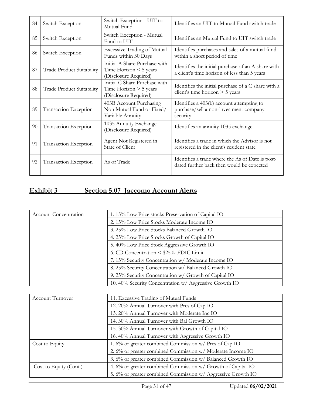| 84 | Switch Exception             | Switch Exception - UIT to<br>Mutual Fund                                              | Identifies an UIT to Mutual Fund switch trade                                                      |
|----|------------------------------|---------------------------------------------------------------------------------------|----------------------------------------------------------------------------------------------------|
| 85 | Switch Exception             | Switch Exception - Mutual<br>Fund to UIT                                              | Identifies an Mutual Fund to UIT switch trade                                                      |
| 86 | Switch Exception             | <b>Excessive Trading of Mutual</b><br>Funds within 30 Days                            | Identifies purchases and sales of a mutual fund<br>within a short period of time                   |
| 87 | Trade Product Suitability    | Initial A Share Purchase with<br>Time Horizon $\leq$ 5 years<br>(Disclosure Required) | Identifies the initial purchase of an A share with<br>a client's time horizon of less than 5 years |
| 88 | Trade Product Suitability    | Initial C Share Purchase with<br>Time Horizon $> 5$ years<br>(Disclosure Required)    | Identifies the initial purchase of a C share with a<br>client's time horizon $>$ 5 years           |
| 89 | <b>Transaction Exception</b> | 403B Account Purchasing<br>Non Mutual Fund or Fixed/<br>Variable Annuity              | Identifies a 403(b) account attempting to<br>purchase/sell a non-investment company<br>security    |
| 90 | Transaction Exception        | 1035 Annuity Exchange<br>(Disclosure Required)                                        | Identifies an annuity 1035 exchange                                                                |
| 91 | Transaction Exception        | Agent Not Registered in<br>State of Client                                            | Identifies a trade in which the Advisor is not<br>registered in the client's resident state        |
| 92 | Transaction Exception        | As of Trade                                                                           | Identifies a trade where the As of Date is post-<br>dated further back then would be expected      |

## **Exhibit 3 Section 5.07 Jaccomo Account Alerts**

| Account Concentration | 1.15% Low Price stocks Preservation of Capital IO      |
|-----------------------|--------------------------------------------------------|
|                       | 2. 15% Low Price Stocks Moderate Income IO             |
|                       | 3. 25% Low Price Stocks Balanced Growth IO             |
|                       | 4. 25% Low Price Stocks Growth of Capital IO           |
|                       | 5.40% Low Price Stock Aggressive Growth IO             |
|                       | 6. CD Concentration < \$250k FDIC Limit                |
|                       | 7. 15% Security Concentration w/ Moderate Income IO    |
|                       | 8. 25% Security Concentration w/ Balanced Growth IO    |
|                       | 9. 25% Security Concentration w/ Growth of Capital IO  |
|                       | 10. 40% Security Concentration w/ Aggressive Growth IO |

| <b>Account Turnover</b> | 11. Excessive Trading of Mutual Funds                        |
|-------------------------|--------------------------------------------------------------|
|                         | 12. 20% Annual Turnover with Pres of Cap IO                  |
|                         | 13. 20% Annual Turnover with Moderate Inc IO                 |
|                         | 14. 30% Annual Turnover with Bal Growth IO                   |
|                         | 15. 30% Annual Turnover with Growth of Capital IO            |
|                         | 16. 40% Annual Turnover with Aggressive Growth IO            |
| Cost to Equity          | 1.6% or greater combined Commission w/ Pres of Cap IO        |
|                         | 2. 6% or greater combined Commission w/ Moderate Income IO   |
|                         | 3.6% or greater combined Commission w/ Balanced Growth IO    |
| Cost to Equity (Cont.)  | 4.6% or greater combined Commission w/ Growth of Capital IO  |
|                         | 5. 6% or greater combined Commission w/ Aggressive Growth IO |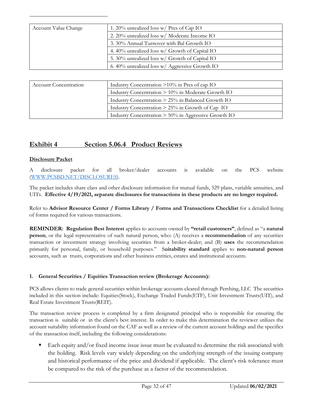| <b>Account Value Change</b> | 1. 20% unrealized loss w/ Pres of Cap IO        |
|-----------------------------|-------------------------------------------------|
|                             | 2. 20% unrealized loss w/ Moderate Income IO    |
|                             | 3. 30% Annual Turnover with Bal Growth IO       |
|                             | 4.40% unrealized loss w/ Growth of Capital IO   |
|                             | 5. 30% unrealized loss w/ Growth of Capital IO  |
|                             | 6.40% unrealized loss $w/$ Aggressive Growth IO |

| <b>Account Concentration</b> | Industry Concentration $>10\%$ in Pres of cap IO        |
|------------------------------|---------------------------------------------------------|
|                              | Industry Concentration $> 10\%$ in Moderate Growth IO   |
|                              | Industry Concentration > 25% in Balanced Growth IO      |
|                              | Industry Concentration $> 25\%$ in Growth of Cap IO     |
|                              | Industry Concentration $> 50\%$ in Aggressive Growth IO |

### **Exhibit 4 Section 5.06.4 Product Reviews**

### **Disclosure Packet**

A disclosure packet for all broker/dealer accounts is available on the PCS website [\(WWW.PCSBD.NET/DISCLOSURES\)](http://www.pcsbd.net/DISCLOSURES).

The packet includes share class and other disclosure information for mutual funds, 529 plans, variable annuities, and UITs. **Effective 4/19/2021, separate disclosures for transactions in these products are no longer required.** 

Refer to **Advisor Resource Center / Forms Library / Forms and Transactions Checklist** for a detailed listing of forms required for various transactions.

**REMINDER: Regulation Best Interest** applies to accounts owned by **"retail customers"**, defined as "a **natural person**, or the legal representative of such natural person, who: (A) receives a **recommendation** of any securities transaction or investment strategy involving securities from a broker-dealer; and (B) **uses** the recommendation primarily for personal, family, or household purposes." S**uitability standard** applies to **non-natural person** accounts, such as trusts, corporations and other business entities, estates and institutional accounts.

### **1. General Securities / Equities Transaction review (Brokerage Accounts):**

PCS allows clients to trade general securities within brokerage accounts cleared through Pershing, LLC The securities included in this section include: Equities(Stock), Exchange Traded Funds(ETF), Unit Investment Trusts(UIT), and Real Estate Investment Trusts(REIT).

The transaction review process is completed by a firm designated principal who is responsible for ensuring the transaction is suitable or in the client's best interest. In order to make this determination the reviewer utilizes the account suitability information found on the CAF as well as a review of the current account holdings and the specifics of the transaction itself, including the following considerations:

 Each equity and/or fixed income issue issue must be evaluated to determine the risk associated with the holding. Risk levels vary widely depending on the underlying strength of the issuing company and historical performance of the price and dividend if applicable. The client's risk tolerance must be compared to the risk of the purchase as a factor of the recommendation.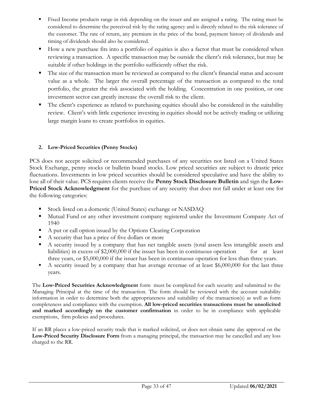- Fixed Income products range in risk depending on the issuer and are assigned a rating. The rating must be considered to determine the perceived risk by the rating agency and is directly related to the risk tolerance of the customer. The rate of return, any premium in the price of the bond, payment history of dividends and timing of dividends should also be considered.
- How a new purchase fits into a portfolio of equities is also a factor that must be considered when reviewing a transaction. A specific transaction may be outside the client's risk tolerance, but may be suitable if other holdings in the portfolio sufficiently offset the risk.
- The size of the transaction must be reviewed as compared to the client's financial status and account value as a whole. The larger the overall percentage of the transaction as compared to the total portfolio, the greater the risk associated with the holding. Concentration in one position, or one investment sector can greatly increase the overall risk to the client.
- The client's experience as related to purchasing equities should also be considered in the suitability review. Client's with little experience investing in equities should not be actively trading or utilizing large margin loans to create portfolios in equities.

### **2. Low-Priced Securities (Penny Stocks)**

PCS does not accept solicited or recommended purchases of any securities not listed on a United States Stock Exchange, penny stocks or bulletin board stocks. Low priced securities are subject to drastic price fluctuations. Investments in low priced securities should be considered speculative and have the ability to lose all of their value. PCS requires clients receive the **Penny Stock Disclosure Bulletin** and sign the **Low-Priced Stock Acknowledgment** for the purchase of any security that does not fall under at least one for the following categories:

- Stock listed on a domestic (United States) exchange or NASDAQ
- Mutual Fund or any other investment company registered under the Investment Company Act of 1940
- A put or call option issued by the Options Clearing Corporation
- A security that has a price of five dollars or more
- A security issued by a company that has net tangible assets (total assets less intangible assets and liabilities) in excess of \$2,000,000 if the issuer has been in continuous operation for at least three years, or \$5,000,000 if the issuer has been in continuous operation for less than three years.
- A security issued by a company that has average revenue of at least \$6,000,000 for the last three years.

The **Low-Priced Securities Acknowledgment** form must be completed for each security and submitted to the Managing Principal at the time of the transaction. The form should be reviewed with the account suitability information in order to determine both the appropriateness and suitability of the transaction(s) as well as form completeness and compliance with the exemption. **All low-priced securities transactions must be unsolicited and marked accordingly on the customer confirmation** in order to be in compliance with applicable exemptions, firm policies and procedures.

If an RR places a low-priced security trade that is marked solicited, or does not obtain same day approval on the **Low-Priced Security Disclosure Form** from a managing principal, the transaction may be cancelled and any loss charged to the RR.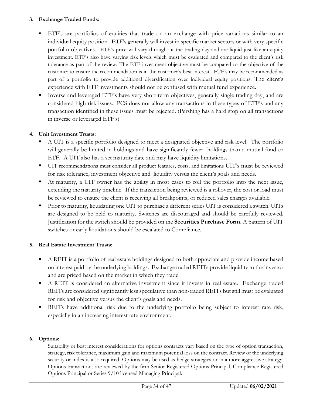### **3. Exchange Traded Funds:**

- ETF's are portfolios of equities that trade on an exchange with price variations similar to an individual equity position. ETF's generally will invest in specific market sectors or with very specific portfolio objectives. ETF's price will vary throughout the trading day and are liquid just like an equity investment. ETF's also have varying risk levels which must be evaluated and compared to the client's risk tolerance as part of the review. The ETF investment objective must be compared to the objective of the customer to ensure the recommendation is in the customer's best interest. ETF's may be recommended as part of a portfolio to provide additional diversification over individual equity positions. The client's experience with ETF investments should not be confused with mutual fund experience.
- Inverse and leveraged ETF's have very short-term objectives, generally single trading day, and are considered high risk issues. PCS does not allow any transactions in these types of ETF's and any transaction identified in these issues must be rejected. (Pershing has a hard stop on all transactions in inverse or leveraged ETF's)

### **4. Unit Investment Trusts:**

- A UIT is a specific portfolio designed to meet a designated objective and risk level. The portfolio will generally be limited in holdings and have significantly fewer holdings than a mutual fund or ETF. A UIT also has a set maturity date and may have liquidity limitations.
- UIT recommendations must consider all product features, costs, and limitations UIT's must be reviewed for risk tolerance, investment objective and liquidity versus the client's goals and needs.
- At maturity, a UIT owner has the ability in most cases to roll the portfolio into the next issue, extending the maturity timeline. If the transaction being reviewed is a rollover, the cost or load must be reviewed to ensure the client is receiving all breakpoints, or reduced sales charges available.
- Prior to maturity, liquidating one UIT to purchase a different series UIT is considered a switch. UITs are designed to be held to maturity. Switches are discouraged and should be carefully reviewed. Justification for the switch should be provided on the **Securities Purchase Form.** A pattern of UIT switches or early liquidations should be escalated to Compliance.

### **5. Real Estate Investment Trusts:**

- A REIT is a portfolio of real estate holdings designed to both appreciate and provide income based on interest paid by the underlying holdings. Exchange traded REITs provide liquidity to the investor and are priced based on the market in which they trade.
- A REIT is considered an alternative investment since it invests in real estate. Exchange traded REITs are considered significantly less speculative than non-traded REITs but still must be evaluated for risk and objective versus the client's goals and needs.
- REITs have additional risk due to the underlying portfolio being subject to interest rate risk, especially in an increasing interest rate environment.

### **6. Options:**

Suitability or best interest considerations for options contracts vary based on the type of option transaction, strategy, risk tolerance, maximum gain and maximum potential loss on the contract. Review of the underlying security or index is also required. Options may be used as hedge strategies or in a more aggressive strategy. Options transactions are reviewed by the firm Senior Registered Options Principal, Compliance Registered Options Principal or Series 9/10 licensed Managing Principal.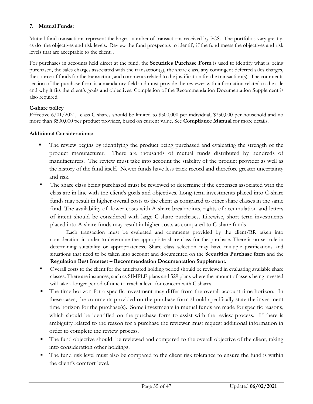### **7. Mutual Funds:**

Mutual fund transactions represent the largest number of transactions received by PCS. The portfolios vary greatly, as do the objectives and risk levels. Review the fund prospectus to identify if the fund meets the objectives and risk levels that are acceptable to the client. .

For purchases in accounts held direct at the fund, the **Securities Purchase Form** is used to identify what is being purchased, the sales charges associated with the transaction(s), the share class, any contingent deferred sales charges, the source of funds for the transaction, and comments related to the justification for the transaction(s). The comments section of the purchase form is a mandatory field and must provide the reviewer with information related to the sale and why it fits the client's goals and objectives. Completion of the Recommendation Documentation Supplement is also required.

### **C-share policy**

Effective 6/01/2021, class C shares should be limited to \$500,000 per individual, \$750,000 per household and no more than \$500,000 per product provider, based on current value. See **Compliance Manual** for more details.

### **Additional Considerations:**

- The review begins by identifying the product being purchased and evaluating the strength of the product manufacturer. There are thousands of mutual funds distributed by hundreds of manufacturers. The review must take into account the stability of the product provider as well as the history of the fund itself. Newer funds have less track record and therefore greater uncertainty and risk.
- The share class being purchased must be reviewed to determine if the expenses associated with the class are in line with the client's goals and objectives. Long-term investments placed into C-share funds may result in higher overall costs to the client as compared to other share classes in the same fund. The availability of lower costs with A-share breakpoints, rights of accumulation and letters of intent should be considered with large C-share purchases. Likewise, short term investments placed into A-share funds may result in higher costs as compared to C-share funds.

Each transaction must be evaluated and comments provided by the client/RR taken into consideration in order to determine the appropriate share class for the purchase. There is no set rule in determining suitability or appropriateness. Share class selection may have multiple justifications and situations that need to be taken into account and documented on the **Securities Purchase form** and the **Regulation Best Interest – Recommendation Documentation Supplement.** 

- Overall costs to the client for the anticipated holding period should be reviewed in evaluating available share classes. There are instances, such as SIMPLE plans and 529 plans where the amount of assets being invested will take a longer period of time to reach a level for concern with C shares.
- The time horizon for a specific investment may differ from the overall account time horizon. In these cases, the comments provided on the purchase form should specifically state the investment time horizon for the purchase(s). Some investments in mutual funds are made for specific reasons, which should be identified on the purchase form to assist with the review process. If there is ambiguity related to the reason for a purchase the reviewer must request additional information in order to complete the review process.
- The fund objective should be reviewed and compared to the overall objective of the client, taking into consideration other holdings.
- The fund risk level must also be compared to the client risk tolerance to ensure the fund is within the client's comfort level.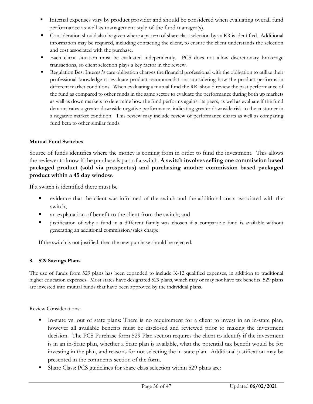- Internal expenses vary by product provider and should be considered when evaluating overall fund performance as well as management style of the fund manager(s).
- Consideration should also be given where a pattern of share class selection by an RR is identified. Additional information may be required, including contacting the client, to ensure the client understands the selection and cost associated with the purchase.
- Each client situation must be evaluated independently. PCS does not allow discretionary brokerage transactions, so client selection plays a key factor in the review.
- Regulation Best Interest's care obligation charges the financial professional with the obligation to utilize their professional knowledge to evaluate product recommendations considering how the product performs in different market conditions. When evaluating a mutual fund the RR should review the past performance of the fund as compared to other funds in the same sector to evaluate the performance during both up markets as well as down markets to determine how the fund performs against its peers, as well as evaluate if the fund demonstrates a greater downside negative performance, indicating greater downside risk to the customer in a negative market condition. This review may include review of performance charts as well as comparing fund beta to other similar funds.

### **Mutual Fund Switches**

Source of funds identifies where the money is coming from in order to fund the investment. This allows the reviewer to know if the purchase is part of a switch. **A switch involves selling one commission based packaged product (sold via prospectus) and purchasing another commission based packaged product within a 45 day window.**

If a switch is identified there must be

- evidence that the client was informed of the switch and the additional costs associated with the switch;
- an explanation of benefit to the client from the switch; and
- justification of why a fund in a different family was chosen if a comparable fund is available without generating an additional commission/sales charge.

If the switch is not justified, then the new purchase should be rejected.

### **8. 529 Savings Plans**

The use of funds from 529 plans has been expanded to include K-12 qualified expenses, in addition to traditional higher education expenses. Most states have designated 529 plans, which may or may not have tax benefits. 529 plans are invested into mutual funds that have been approved by the individual plans.

Review Considerations:

- In-state vs. out of state plans: There is no requirement for a client to invest in an in-state plan, however all available benefits must be disclosed and reviewed prior to making the investment decision. The PCS Purchase form 529 Plan section requires the client to identify if the investment is in an in-State plan, whether a State plan is available, what the potential tax benefit would be for investing in the plan, and reasons for not selecting the in-state plan. Additional justification may be presented in the comments section of the form.
- Share Class: PCS guidelines for share class selection within 529 plans are: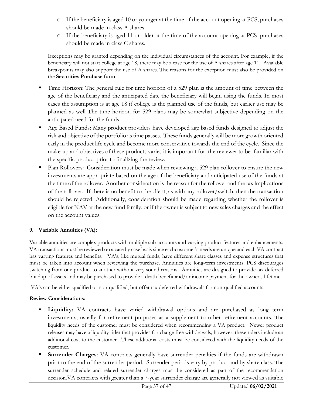- o If the beneficiary is aged 10 or younger at the time of the account opening at PCS, purchases should be made in class A shares.
- o If the beneficiary is aged 11 or older at the time of the account opening at PCS, purchases should be made in class C shares.

Exceptions may be granted depending on the individual circumstances of the account. For example, if the beneficiary will not start college at age 18, there may be a case for the use of A shares after age 11. Available breakpoints may also support the use of A shares. The reasons for the exception must also be provided on the **Securities Purchase form**

- Time Horizon: The general rule for time horizon of a 529 plan is the amount of time between the age of the beneficiary and the anticipated date the beneficiary will begin using the funds. In most cases the assumption is at age 18 if college is the planned use of the funds, but earlier use may be planned as well The time horizon for 529 plans may be somewhat subjective depending on the anticipated need for the funds.
- Age Based Funds: Many product providers have developed age based funds designed to adjust the risk and objective of the portfolio as time passes. These funds generally will be more growth oriented early in the product life cycle and become more conservative towards the end of the cycle. Since the make-up and objectives of these products varies it is important for the reviewer to be familiar with the specific product prior to finalizing the review.
- Plan Rollovers: Consideration must be made when reviewing a 529 plan rollover to ensure the new investments are appropriate based on the age of the beneficiary and anticipated use of the funds at the time of the rollover. Another consideration is the reason for the rollover and the tax implications of the rollover. If there is no benefit to the client, as with any rollover/switch, then the transaction should be rejected. Additionally, consideration should be made regarding whether the rollover is eligible for NAV at the new fund family, or if the owner is subject to new sales charges and the effect on the account values.

### **9. Variable Annuities (VA):**

Variable annuities are complex products with multiple sub-accounts and varying product features and enhancements. VA transactions must be reviewed on a case by case basis since eachcustomer's needs are unique and each VA contract has varying features and benefits. VA's, like mutual funds, have different share classes and expense structures that must be taken into account when reviewing the purchase. Annuities are long-term investments. PCS discourages switching from one product to another without very sound reasons. Annuities are designed to provide tax deferred buildup of assets and may be purchased to provide a death benefit and/or income payment for the owner's lifetime.

VA's can be either qualified or non-qualified, but offer tax deferred withdrawals for non-qualified accounts.

### **Review Considerations:**

- **Liquidity:** VA contracts have varied withdrawal options and are purchased as long term investments, usually for retirement purposes as a supplement to other retirement accounts. The liquidity needs of the customer must be considered when recommending a VA product. Newer product releases may have a liquidity rider that provides for charge free withdrawals; however, these riders include an additional cost to the customer. These additional costs must be considered with the liquidity needs of the customer.
- **Surrender Charges**: VA contracts generally have surrender penalties if the funds are withdrawn prior to the end of the surrender period. Surrender periods vary by product and by share class. The surrender schedule and related surrender charges must be considered as part of the recommendation decision.VA contracts with greater than a 7-year surrender charge are generally not viewed as suitable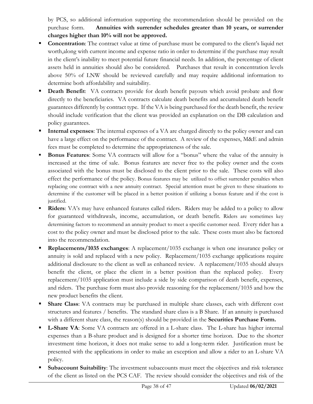by PCS, so additional information supporting the recommendation should be provided on the purchase form. **Annuities with surrender schedules greater than 10 years, or surrender charges higher than 10% will not be approved.**

- **Concentration**: The contract value at time of purchase must be compared to the client's liquid net worth,along with current income and expense ratio in order to determine if the purchase may result in the client's inability to meet potential future financial needs. In addition, the percentage of client assets held in annuities should also be considered. Purchases that result in concentration levels above 50% of LNW should be reviewed carefully and may require additional information to determine both affordability and suitability.
- **Death Benefit:** VA contracts provide for death benefit payouts which avoid probate and flow directly to the beneficiaries. VA contracts calculate death benefits and accumulated death benefit guarantees differently by contract type. If the VA is being purchased for the death benefit, the review should include verification that the client was provided an explanation on the DB calculation and policy guarantees.
- **Internal expenses**: The internal expenses of a VA are charged directly to the policy owner and can have a large effect on the performance of the contract. A review of the expenses, M&E and admin fees must be completed to determine the appropriateness of the sale.
- **Bonus Features:** Some VA contracts will allow for a "bonus" where the value of the annuity is increased at the time of sale. Bonus features are never free to the policy owner and the costs associated with the bonus must be disclosed to the client prior to the sale. These costs will also effect the performance of the policy. Bonus features may be utilized to offset surrender penalties when replacing one contract with a new annuity contract. Special attention must be given to these situations to determine if the customer will be placed in a better position if utilizing a bonus feature and if the cost is justified.
- **Riders:** VA's may have enhanced features called riders. Riders may be added to a policy to allow for guaranteed withdrawals, income, accumulation, or death benefit. Riders are sometimes key determining factors to recommend an annuity product to meet a specific customer need. Every rider has a cost to the policy owner and must be disclosed prior to the sale. These costs must also be factored into the recommendation.
- **Replacements/1035 exchanges:** A replacement/1035 exchange is when one insurance policy or annuity is sold and replaced with a new policy. Replacement/1035 exchange applications require additional disclosure to the client as well as enhanced review. A replacement/1035 should always benefit the client, or place the client in a better position than the replaced policy. Every replacement/1035 application must include a side by side comparison of death benefit, expenses, and riders. The purchase form must also provide reasoning for the replacement/1035 and how the new product benefits the client.
- **Share Class**: VA contracts may be purchased in multiple share classes, each with different cost structures and features / benefits. The standard share class is a B Share. If an annuity is purchased with a different share class, the reason(s) should be provided in the **Securities Purchase Form.**
- **L-Share VA**: Some VA contracts are offered in a L-share class. The L-share has higher internal expenses than a B-share product and is designed for a shorter time horizon. Due to the shorter investment time horizon, it does not make sense to add a long-term rider. Justification must be presented with the applications in order to make an exception and allow a rider to an L-share VA policy.
- **Subaccount Suitability**: The investment subaccounts must meet the objectives and risk tolerance of the client as listed on the PCS CAF. The review should consider the objectives and risk of the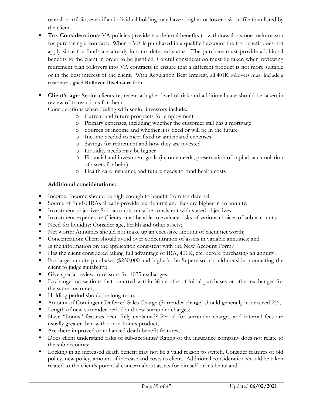overall portfolio, even if an individual holding may have a higher or lower risk profile than listed by the client.

- **Tax Considerations**: VA policies provide tax deferral benefits to withdrawals as one main reason for purchasing a contract. When a VA is purchased in a qualified account the tax benefit does not apply since the funds are already in a tax deferred status. The purchase must provide additional benefits to the client in order to be justified. Careful consideration must be taken when reviewing retirement plan rollovers into VA contracts to ensure that a different product is not more suitable or in the best interest of the client. With Regulation Best Interest, all 401K rollovers must include a customer signed **Rollover Disclosure** form.
- **Client's age**: Senior clients represent a higher level of risk and additional care should be taken in review of transactions for them.

Considerations when dealing with senior investors include:

- o Current and future prospects for employment
- o Primary expenses, including whether the customer still has a mortgage
- o Sources of income and whether it is fixed or will be in the future
- o Income needed to meet fixed or anticipated expenses
- o Savings for retirement and how they are invested
- o Liquidity needs may be higher
- o Financial and investment goals (income needs, preservation of capital, accumulation of assets for heirs)
- o Health care insurance and future needs to fund health costs

### **Additional considerations:**

- Income: Income should be high enough to benefit from tax deferral;
- Source of funds: IRAs already provide tax-deferral and fees are higher in an annuity;
- Investment objective: Sub-accounts must be consistent with stated objectives;
- Investment experience: Clients must be able to evaluate risks of various choices of sub-accounts;
- Need for liquidity: Consider age, health and other assets;
- Net worth: Annuities should not make up an excessive amount of client net worth;
- Concentration: Client should avoid over concentration of assets in variable annuities; and
- Is the information on the application consistent with the New Account Form?
- Has the client considered taking full advantage of IRA, 401K, etc. before purchasing an annuity;
- For large annuity purchases (\$250,000 and higher), the Supervisor should consider contacting the client to judge suitability;
- Give special review to reasons for 1035 exchanges;
- Exchange transactions that occurred within 36 months of initial purchases or other exchanges for the same customer;
- Holding period should be long-term;
- Amount of Contingent Deferred Sales Charge (Surrender charge) should generally not exceed 2%;
- **Length of new surrender period and new surrender charges;**
- Have "bonus" features been fully explained? Period for surrender charges and internal fees are usually greater than with a non-bonus product;
- Are there improved or enhanced death benefit features;
- Does client understand risks of sub-accounts? Rating of the insurance company does not relate to the sub-accounts;
- Locking in an increased death benefit may not be a valid reason to switch. Consider features of old policy, new policy, amount of increase and costs to client. Additional consideration should be taken related to the client's potential concern about assets for himself or his heirs; and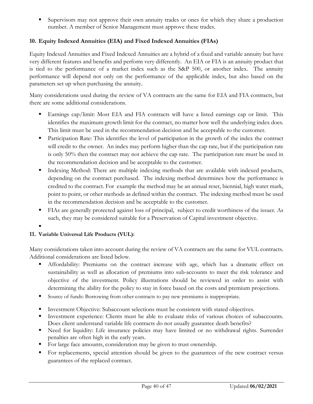Supervisors may not approve their own annuity trades or ones for which they share a production number. A member of Senior Management must approve these trades.

### **10. Equity Indexed Annuities (EIA) and Fixed Indexed Annuities (FIAs)**

Equity Indexed Annuities and Fixed Indexed Annuities are a hybrid of a fixed and variable annuity but have very different features and benefits and perform very differently. An EIA or FIA is an annuity product that is tied to the performance of a market index such as the S&P 500, or another index. The annuity performance will depend not only on the performance of the applicable index, but also based on the parameters set up when purchasing the annuity.

Many considerations used during the review of VA contracts are the same for EIA and FIA contracts, but there are some additional considerations.

- Earnings cap/limit: Most EIA and FIA contracts will have a listed earnings cap or limit. This identifies the maximum growth limit for the contract, no matter how well the underlying index does. This limit must be used in the recommendation decision and be acceptable to the customer.
- Participation Rate: This identifies the level of participation in the growth of the index the contract will credit to the owner. An index may perform higher than the cap rate, but if the participation rate is only 50% then the contract may not achieve the cap rate. The participation rate must be used in the recommendation decision and be acceptable to the customer.
- Indexing Method: There are multiple indexing methods that are available with indexed products, depending on the contract purchased. The indexing method determines how the performance is credited to the contract. For example the method may be an annual reset, biennial, high water mark, point to point, or other methods as defined within the contract. The indexing method must be used in the recommendation decision and be acceptable to the customer.
- FIAs are generally protected against loss of principal, subject to credit worthiness of the issuer. As such, they may be considered suitable for a Preservation of Capital investment objective.
- $\blacksquare$

### **11. Variable Universal Life Products (VUL):**

Many considerations taken into account during the review of VA contracts are the same for VUL contracts. Additional considerations are listed below.

- Affordability: Premiums on the contract increase with age, which has a dramatic effect on sustainability as well as allocation of premiums into sub-accounts to meet the risk tolerance and objective of the investment. Policy illustrations should be reviewed in order to assist with determining the ability for the policy to stay in force based on the costs and premium projections.
- Source of funds: Borrowing from other contracts to pay new premiums is inappropriate.
- Investment Objective: Subaccount selections must be consistent with stated objectives.
- Investment experience: Clients must be able to evaluate risks of various choices of subaccounts. Does client understand variable life contracts do not usually guarantee death benefits?
- Need for liquidity: Life insurance policies may have limited or no withdrawal rights. Surrender penalties are often high in the early years.
- For large face amounts, consideration may be given to trust ownership.
- For replacements, special attention should be given to the guarantees of the new contract versus guarantees of the replaced contract.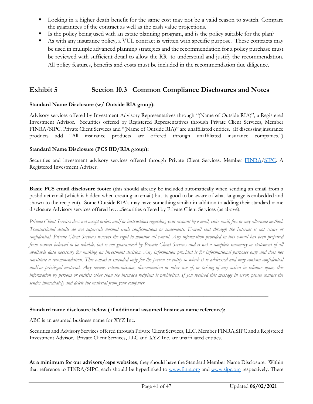- Locking in a higher death benefit for the same cost may not be a valid reason to switch. Compare the guarantees of the contract as well as the cash value projections.
- Is the policy being used with an estate planning program, and is the policy suitable for the plan?
- As with any insurance policy, a VUL contract is written with specific purpose. These contracts may be used in multiple advanced planning strategies and the recommendation for a policy purchase must be reviewed with sufficient detail to allow the RR to understand and justify the recommendation. All policy features, benefits and costs must be included in the recommendation due diligence.

### **Exhibit 5 Section 10.3 Common Compliance Disclosures and Notes**

### **Standard Name Disclosure (w/ Outside RIA group):**

Advisory services offered by Investment Advisory Representatives through "(Name of Outside RIA)", a Registered Investment Advisor. Securities offered by Registered Representatives through Private Client Services, Member FINRA/SIPC. Private Client Services and "(Name of Outside RIA)" are unaffiliated entities. (If discussing insurance products add "All insurance products are offered through unaffiliated insurance companies.")

### **Standard Name Disclosure (PCS BD/RIA group):**

Securities and investment advisory services offered through Private Client Services. Member [FINRA/](http://www.finra.org/)[SIPC.](http://www.sipc.org/) A Registered Investment Adviser.

\_\_\_\_\_\_\_\_\_\_\_\_\_\_\_\_\_\_\_\_\_\_\_\_\_\_\_\_\_\_\_\_\_\_\_\_\_\_\_\_\_\_\_\_\_\_\_\_\_\_\_\_\_\_\_\_\_\_\_\_\_\_\_\_\_\_\_\_\_\_\_\_\_\_\_\_\_\_\_\_\_\_

**Basic PCS email disclosure footer** (this should already be included automatically when sending an email from a pcsbd.net email (which is hidden when creating an email) but its good to be aware of what language is embedded and shown to the recipient). Some Outside RIA's may have something similar in addition to adding their standard name disclosure Advisory services offered by….Securities offered by Private Client Services (as above).

*Private Client Services does not accept orders and/or instructions regarding your account by e-mail, voice mail, fax or any alternate method. Transactional details do not supersede normal trade confirmations or statements. E-mail sent through the Internet is not secure or*  confidential. Private Client Services reserves the right to monitor all e-mail. Any information provided in this e-mail has been prepared *from sources believed to be reliable, but is not guaranteed by Private Client Services and is not a complete summary or statement of all available data necessary for making an investment decision. Any information provided is for informational purposes only and does not constitute a recommendation. This e-mail is intended only for the person or entity to which it is addressed and may contain confidential and/or privileged material. Any review, retransmission, dissemination or other use of, or taking of any action in reliance upon, this information by persons or entities other than the intended recipient is prohibited. If you received this message in error, please contact the sender immediately and delete the material from your computer.* 

### **Standard name disclosure below ( if additional assumed business name reference):**

ABC is an assumed business name for XYZ Inc.

Securities and Advisory Services offered through Private Client Services, LLC. Member FINRA,SIPC and a Registered Investment Advisor. Private Client Services, LLC and XYZ Inc. are unaffiliated entities.

\_\_\_\_\_\_\_\_\_\_\_\_\_\_\_\_\_\_\_\_\_\_\_\_\_\_\_\_\_\_\_\_\_\_\_\_\_\_\_\_\_\_\_\_\_\_\_\_\_\_\_\_\_\_\_\_\_\_\_\_\_\_\_\_\_\_\_\_\_\_\_\_\_\_\_\_\_\_\_\_\_\_\_\_\_

\_\_\_\_\_\_\_\_\_\_\_\_\_\_\_\_\_\_\_\_\_\_\_\_\_\_\_\_\_\_\_\_\_\_\_\_\_\_\_\_\_\_\_\_\_\_\_\_\_\_\_\_\_\_\_\_\_\_\_\_\_\_\_\_\_\_\_\_\_\_\_\_\_\_\_\_\_\_\_\_\_\_\_\_\_

**At a minimum for our advisors/reps websites**, they should have the Standard Member Name Disclosure. Within that reference to FINRA/SIPC, each should be hyperlinked to [www.finra.org](http://www.finra.org/) and [www.sipc.org](http://www.sipc.org/) respectively. There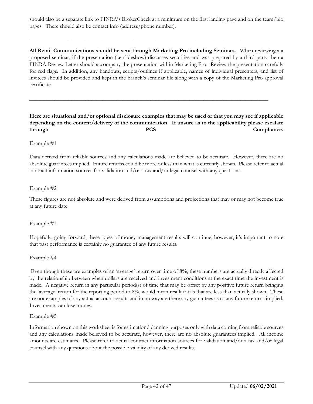should also be a separate link to FINRA's BrokerCheck at a minimum on the first landing page and on the team/bio pages. There should also be contact info (address/phone number).

\_\_\_\_\_\_\_\_\_\_\_\_\_\_\_\_\_\_\_\_\_\_\_\_\_\_\_\_\_\_\_\_\_\_\_\_\_\_\_\_\_\_\_\_\_\_\_\_\_\_\_\_\_\_\_\_\_\_\_\_\_\_\_\_\_\_\_\_\_\_\_\_\_\_\_\_\_\_\_\_\_\_\_\_\_

\_\_\_\_\_\_\_\_\_\_\_\_\_\_\_\_\_\_\_\_\_\_\_\_\_\_\_\_\_\_\_\_\_\_\_\_\_\_\_\_\_\_\_\_\_\_\_\_\_\_\_\_\_\_\_\_\_\_\_\_\_\_\_\_\_\_\_\_\_\_\_\_\_\_\_\_\_\_\_\_\_\_\_\_\_

**All Retail Communications should be sent through Marketing Pro including Seminars**. When reviewing a a proposed seminar, if the presentation (i.e slideshow) discusses securities and was prepared by a third party then a FINRA Review Letter should accompany the presentation within Marketing Pro. Review the presentation carefully for red flags. In addition, any handouts, scripts/outlines if applicable, names of individual presenters, and list of invitees should be provided and kept in the branch's seminar file along with a copy of the Marketing Pro approval certificate.

### **Here are situational and/or optional disclosure examples that may be used or that you may see if applicable depending on the content/delivery of the communication. If unsure as to the applicability please escalate**  through **PCS** Compliance.

### Example #1

Data derived from reliable sources and any calculations made are believed to be accurate. However, there are no absolute guarantees implied. Future returns could be more or less than what is currently shown. Please refer to actual contract information sources for validation and/or a tax and/or legal counsel with any questions.

### Example #2

These figures are not absolute and were derived from assumptions and projections that may or may not become true at any future date.

### Example #3

Hopefully, going forward, these types of money management results will continue, however, it's important to note that past performance is certainly no guarantee of any future results.

### Example #4

Even though these are examples of an 'average' return over time of 8%, these numbers are actually directly affected by the relationship between when dollars are received and investment conditions at the exact time the investment is made. A negative return in any particular period(s) of time that may be offset by any positive future return bringing the 'average' return for the reporting period to 8%, would mean result totals that are less than actually shown. These are not examples of any actual account results and in no way are there any guarantees as to any future returns implied. Investments can lose money.

### Example #5

Information shown on this worksheet is for estimation/planning purposes only with data coming from reliable sources and any calculations made believed to be accurate, however, there are no absolute guarantees implied. All income amounts are estimates. Please refer to actual contract information sources for validation and/or a tax and/or legal counsel with any questions about the possible validity of any derived results.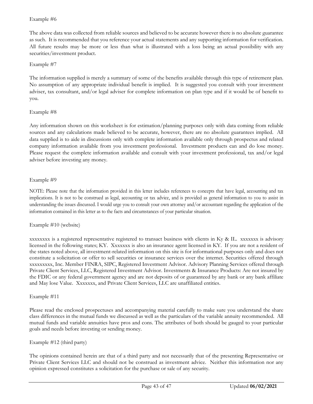### Example #6

The above data was collected from reliable sources and believed to be accurate however there is no absolute guarantee as such. It is recommended that you reference your actual statements and any supporting information for verification. All future results may be more or less than what is illustrated with a loss being an actual possibility with any securities/investment product.

### Example #7

The information supplied is merely a summary of some of the benefits available through this type of retirement plan. No assumption of any appropriate individual benefit is implied. It is suggested you consult with your investment adviser, tax consultant, and/or legal adviser for complete information on plan type and if it would be of benefit to you.

### Example #8

Any information shown on this worksheet is for estimation/planning purposes only with data coming from reliable sources and any calculations made believed to be accurate, however, there are no absolute guarantees implied. All data supplied is to aide in discussions only with complete information available only through prospectus and related company information available from you investment professional. Investment products can and do lose money. Please request the complete information available and consult with your investment professional, tax and/or legal adviser before investing any money.

### Example #9

NOTE: Please note that the information provided in this letter includes references to concepts that have legal, accounting and tax implications. It is not to be construed as legal, accounting or tax advice, and is provided as general information to you to assist in understanding the issues discussed. I would urge you to consult your own attorney and/or accountant regarding the application of the information contained in this letter as to the facts and circumstances of your particular situation.

### Example #10 (website)

xxxxxxxx is a registered representative registered to transact business with clients in Ky & IL. xxxxxxx is advisory licensed in the following states; KY. Xxxxxxx is also an insurance agent licensed in KY. If you are not a resident of the states noted above, all investment-related information on this site is for informational purposes only and does not constitute a solicitation or offer to sell securities or insurance services over the internet. Securities offered through xxxxxxxxx, Inc. Member FINRA, SIPC, Registered Investment Advisor. Advisory Planning Services offered through Private Client Services, LLC, Registered Investment Advisor. Investments & Insurance Products: Are not insured by the FDIC or any federal government agency and are not deposits of or guaranteed by any bank or any bank affiliate and May lose Value. Xxxxxxx, and Private Client Services, LLC are unaffiliated entities.

### Example #11

Please read the enclosed prospectuses and accompanying material carefully to make sure you understand the share class differences in the mutual funds we discussed as well as the particulars of the variable annuity recommended. All mutual funds and variable annuities have pros and cons. The attributes of both should be gauged to your particular goals and needs before investing or sending money.

### Example #12 (third party)

The opinions contained herein are that of a third party and not necessarily that of the presenting Representative or Private Client Services LLC and should not be construed as investment advice. Neither this information nor any opinion expressed constitutes a solicitation for the purchase or sale of any security.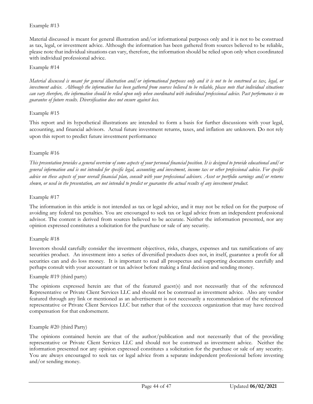### Example #13

Material discussed is meant for general illustration and/or informational purposes only and it is not to be construed as tax, legal, or investment advice. Although the information has been gathered from sources believed to be reliable, please note that individual situations can vary, therefore, the information should be relied upon only when coordinated with individual professional advice.

### Example #14

*Material discussed is meant for general illustration and/or informational purposes only and it is not to be construed as tax, legal, or investment advice. Although the information has been gathered from sources believed to be reliable, please note that individual situations can vary therefore, the information should be relied upon only when coordinated with individual professional advice. Past performance is no guarantee of future results. Diversification does not ensure against loss.* 

#### Example #15

This report and its hypothetical illustrations are intended to form a basis for further discussions with your legal, accounting, and financial advisors. Actual future investment returns, taxes, and inflation are unknown. Do not rely upon this report to predict future investment performance

### Example #16

*This presentation provides a general overview of some aspects of your personal financial position. It is designed to provide educational and/or general information and is not intended for specific legal, accounting and investment, income tax or other professional advice. For specific advice on these aspects of your overall financial plan, consult with your professional advisors. Asset or portfolio earnings and/or returns shown, or used in the presentation, are not intended to predict or guarantee the actual results of any investment product.*

#### Example #17

The information in this article is not intended as tax or legal advice, and it may not be relied on for the purpose of avoiding any federal tax penalties. You are encouraged to seek tax or legal advice from an independent professional advisor. The content is derived from sources believed to be accurate. Neither the information presented, nor any opinion expressed constitutes a solicitation for the purchase or sale of any security.

#### Example #18

Investors should carefully consider the investment objectives, risks, charges, expenses and tax ramifications of any securities product. An investment into a series of diversified products does not, in itself, guarantee a profit for all securities can and do loss money. It is important to read all prospectus and supporting documents carefully and perhaps consult with your accountant or tax advisor before making a final decision and sending money.

### Example #19 (third party)

The opinions expressed herein are that of the featured guest(s) and not necessarily that of the referenced Representative or Private Client Services LLC and should not be construed as investment advice. Also any vendor featured through any link or mentioned as an advertisement is not necessarily a recommendation of the referenced representative or Private Client Services LLC but rather that of the xxxxxxxx organization that may have received compensation for that endorsement.

### Example #20 (third Party)

The opinions contained herein are that of the author/publication and not necessarily that of the providing representative or Private Client Services LLC and should not be construed as investment advice. Neither the information presented nor any opinion expressed constitutes a solicitation for the purchase or sale of any security. You are always encouraged to seek tax or legal advice from a separate independent professional before investing and/or sending money.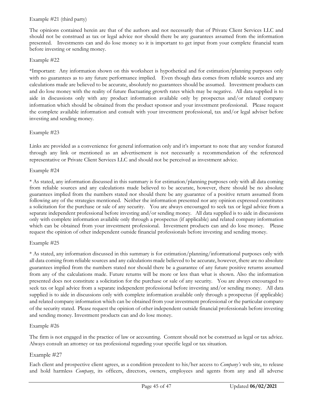### Example #21 (third party)

The opinions contained herein are that of the authors and not necessarily that of Private Client Services LLC and should not be construed as tax or legal advice nor should there be any guarantees assumed from the information presented. Investments can and do lose money so it is important to get input from your complete financial team before investing or sending money.

### Example #22

\*Important: Any information shown on this worksheet is hypothetical and for estimation/planning purposes only with no guarantees as to any future performance implied. Even though data comes from reliable sources and any calculations made are believed to be accurate, absolutely no guarantees should be assumed. Investment products can and do lose money with the reality of future fluctuating growth rates which may be negative. All data supplied is to aide in discussions only with any product information available only by prospectus and/or related company information which should be obtained from the product sponsor and your investment professional. Please request the complete available information and consult with your investment professional, tax and/or legal adviser before investing and sending money.

### Example #23

Links are provided as a convenience for general information only and it's important to note that any vendor featured through any link or mentioned as an advertisement is not necessarily a recommendation of the referenced representative or Private Client Services LLC and should not be perceived as investment advice.

### Example #24

\* As stated, any information discussed in this summary is for estimation/planning purposes only with all data coming from reliable sources and any calculations made believed to be accurate, however, there should be no absolute guarantees implied from the numbers stated nor should there be any guarantee of a positive return assumed from following any of the strategies mentioned. Neither the information presented nor any opinion expressed constitutes a solicitation for the purchase or sale of any security. You are always encouraged to seek tax or legal advice from a separate independent professional before investing and/or sending money. All data supplied is to aide in discussions only with complete information available only through a prospectus (if applicable) and related company information which can be obtained from your investment professional. Investment products can and do lose money. Please request the opinion of other independent outside financial professionals before investing and sending money.

### Example #25

\* As stated, any information discussed in this summary is for estimation/planning/informational purposes only with all data coming from reliable sources and any calculations made believed to be accurate, however, there are no absolute guarantees implied from the numbers stated nor should there be a guarantee of any future positive returns assumed from any of the calculations made. Future returns will be more or less than what is shown. Also the information presented does not constitute a solicitation for the purchase or sale of any security. You are always encouraged to seek tax or legal advice from a separate independent professional before investing and/or sending money. All data supplied is to aide in discussions only with complete information available only through a prospectus (if applicable) and related company information which can be obtained from your investment professional or the particular company of the security stated. Please request the opinion of other independent outside financial professionals before investing and sending money. Investment products can and do lose money.

### Example #26

The firm is not engaged in the practice of law or accounting. Content should not be construed as legal or tax advice. Always consult an attorney or tax professional regarding your specific legal or tax situation.

### Example #27

Each client and prospective client agrees, as a condition precedent to his/her access to *Company's* web site, to release and hold harmless *Company*, its officers, directors, owners, employees and agents from any and all adverse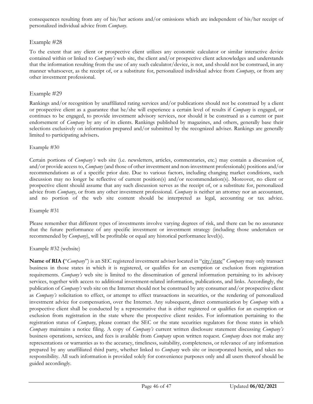consequences resulting from any of his/her actions and/or omissions which are independent of his/her receipt of personalized individual advice from *Company*.

### Example #28

To the extent that any client or prospective client utilizes any economic calculator or similar interactive device contained within or linked to *Company's* web site, the client and/or prospective client acknowledges and understands that the information resulting from the use of any such calculator/device, is not, and should not be construed, in any manner whatsoever, as the receipt of, or a substitute for, personalized individual advice from *Company*, or from any other investment professional.

### Example #29

Rankings and/or recognition by unaffiliated rating services and/or publications should not be construed by a client or prospective client as a guarantee that he/she will experience a certain level of results if *Company* is engaged, or continues to be engaged, to provide investment advisory services, nor should it be construed as a current or past endorsement of *Company* by any of its clients. Rankings published by magazines, and others, generally base their selections exclusively on information prepared and/or submitted by the recognized adviser. Rankings are generally limited to participating advisers**.**

### Example #30

Certain portions of *Company's* web site (i.e. newsletters, articles, commentaries, etc.) may contain a discussion of, and/or provide access to, *Company* (and those of other investment and non-investment professionals) positions and/or recommendations as of a specific prior date. Due to various factors, including changing market conditions, such discussion may no longer be reflective of current position(s) and/or recommendation(s). Moreover, no client or prospective client should assume that any such discussion serves as the receipt of, or a substitute for, personalized advice from *Company*, or from any other investment professional. *Company* is neither an attorney nor an accountant, and no portion of the web site content should be interpreted as legal, accounting or tax advice.

### Example #31

Please remember that different types of investments involve varying degrees of risk, and there can be no assurance that the future performance of any specific investment or investment strategy (including those undertaken or recommended by *Company*), will be profitable or equal any historical performance level(s).

### Example #32 (website)

**Name of RIA (**"*Company*") is an SEC registered investment adviser located in "city/state" *Company* may only transact business in those states in which it is registered, or qualifies for an exemption or exclusion from registration requirements. *Company's* web site is limited to the dissemination of general information pertaining to its advisory services, together with access to additional investment-related information, publications, and links. Accordingly, the publication of *Company's* web site on the Internet should not be construed by any consumer and/or prospective client as *Company's* solicitation to effect, or attempt to effect transactions in securities, or the rendering of personalized investment advice for compensation, over the Internet. Any subsequent, direct communication by *Company* with a prospective client shall be conducted by a representative that is either registered or qualifies for an exemption or exclusion from registration in the state where the prospective client resides. For information pertaining to the registration status of *Company*, please contact the SEC or the state securities regulators for those states in which *Company* maintains a notice filing. A copy of *Company's* current written disclosure statement discussing *Company's*  business operations, services, and fees is available from *Company* upon written request. *Company* does not make any representations or warranties as to the accuracy, timeliness, suitability, completeness, or relevance of any information prepared by any unaffiliated third party, whether linked to *Company* web site or incorporated herein, and takes no responsibility. All such information is provided solely for convenience purposes only and all users thereof should be guided accordingly.